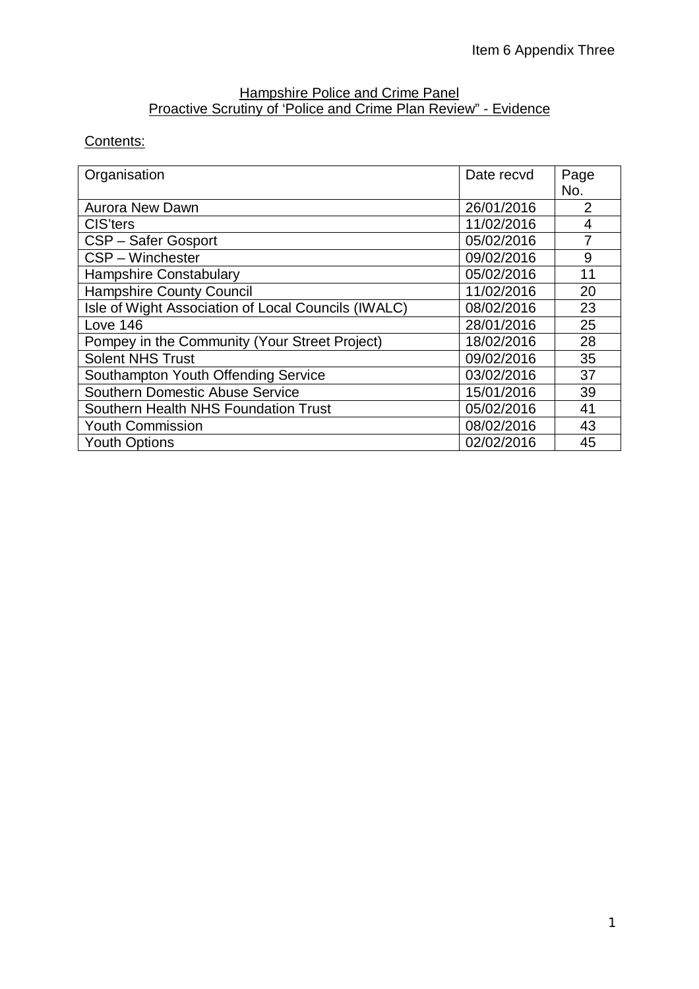#### Hampshire Police and Crime Panel Proactive Scrutiny of 'Police and Crime Plan Review" - Evidence

# Contents:

| Organisation                                        | Date recvd | Page |
|-----------------------------------------------------|------------|------|
|                                                     |            | No.  |
| <b>Aurora New Dawn</b>                              | 26/01/2016 | 2    |
| CIS'ters                                            | 11/02/2016 | 4    |
| CSP - Safer Gosport                                 | 05/02/2016 | 7    |
| CSP - Winchester                                    | 09/02/2016 | 9    |
| <b>Hampshire Constabulary</b>                       | 05/02/2016 | 11   |
| <b>Hampshire County Council</b>                     | 11/02/2016 | 20   |
| Isle of Wight Association of Local Councils (IWALC) | 08/02/2016 | 23   |
| Love 146                                            | 28/01/2016 | 25   |
| Pompey in the Community (Your Street Project)       | 18/02/2016 | 28   |
| <b>Solent NHS Trust</b>                             | 09/02/2016 | 35   |
| Southampton Youth Offending Service                 | 03/02/2016 | 37   |
| <b>Southern Domestic Abuse Service</b>              | 15/01/2016 | 39   |
| Southern Health NHS Foundation Trust                | 05/02/2016 | 41   |
| <b>Youth Commission</b>                             | 08/02/2016 | 43   |
| <b>Youth Options</b>                                | 02/02/2016 | 45   |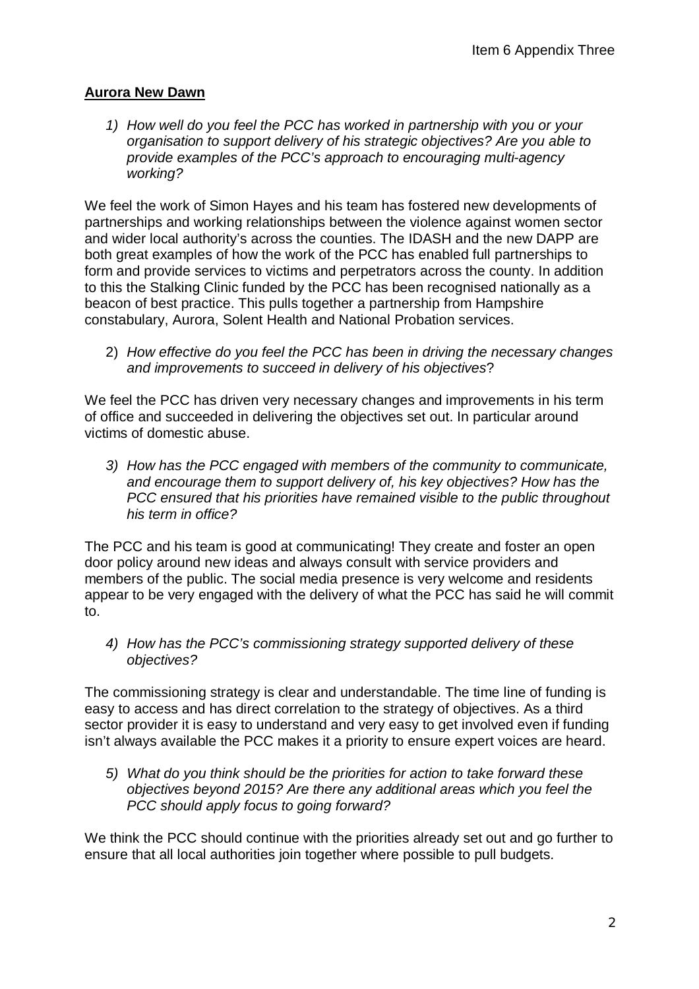## **Aurora New Dawn**

*1) How well do you feel the PCC has worked in partnership with you or your organisation to support delivery of his strategic objectives? Are you able to provide examples of the PCC's approach to encouraging multi-agency working?*

We feel the work of Simon Hayes and his team has fostered new developments of partnerships and working relationships between the violence against women sector and wider local authority's across the counties. The IDASH and the new DAPP are both great examples of how the work of the PCC has enabled full partnerships to form and provide services to victims and perpetrators across the county. In addition to this the Stalking Clinic funded by the PCC has been recognised nationally as a beacon of best practice. This pulls together a partnership from Hampshire constabulary, Aurora, Solent Health and National Probation services.

2) *How effective do you feel the PCC has been in driving the necessary changes and improvements to succeed in delivery of his objectives*?

We feel the PCC has driven very necessary changes and improvements in his term of office and succeeded in delivering the objectives set out. In particular around victims of domestic abuse.

*3) How has the PCC engaged with members of the community to communicate, and encourage them to support delivery of, his key objectives? How has the PCC ensured that his priorities have remained visible to the public throughout his term in office?*

The PCC and his team is good at communicating! They create and foster an open door policy around new ideas and always consult with service providers and members of the public. The social media presence is very welcome and residents appear to be very engaged with the delivery of what the PCC has said he will commit to.

*4) How has the PCC's commissioning strategy supported delivery of these objectives?*

The commissioning strategy is clear and understandable. The time line of funding is easy to access and has direct correlation to the strategy of objectives. As a third sector provider it is easy to understand and very easy to get involved even if funding isn't always available the PCC makes it a priority to ensure expert voices are heard.

*5) What do you think should be the priorities for action to take forward these objectives beyond 2015? Are there any additional areas which you feel the PCC should apply focus to going forward?*

We think the PCC should continue with the priorities already set out and go further to ensure that all local authorities join together where possible to pull budgets.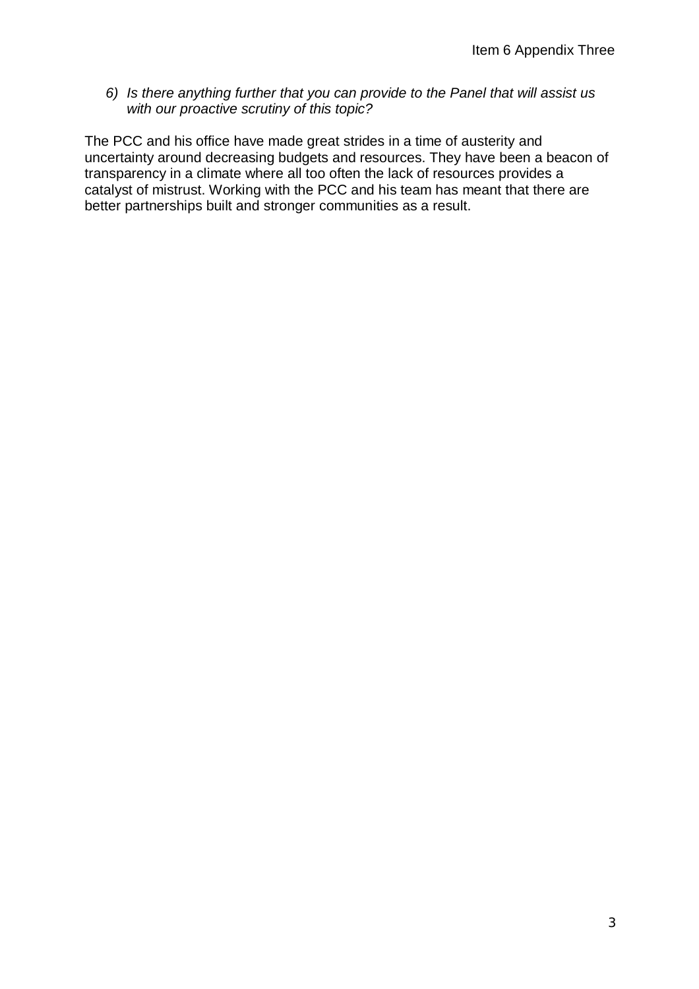*6) Is there anything further that you can provide to the Panel that will assist us with our proactive scrutiny of this topic?*

The PCC and his office have made great strides in a time of austerity and uncertainty around decreasing budgets and resources. They have been a beacon of transparency in a climate where all too often the lack of resources provides a catalyst of mistrust. Working with the PCC and his team has meant that there are better partnerships built and stronger communities as a result.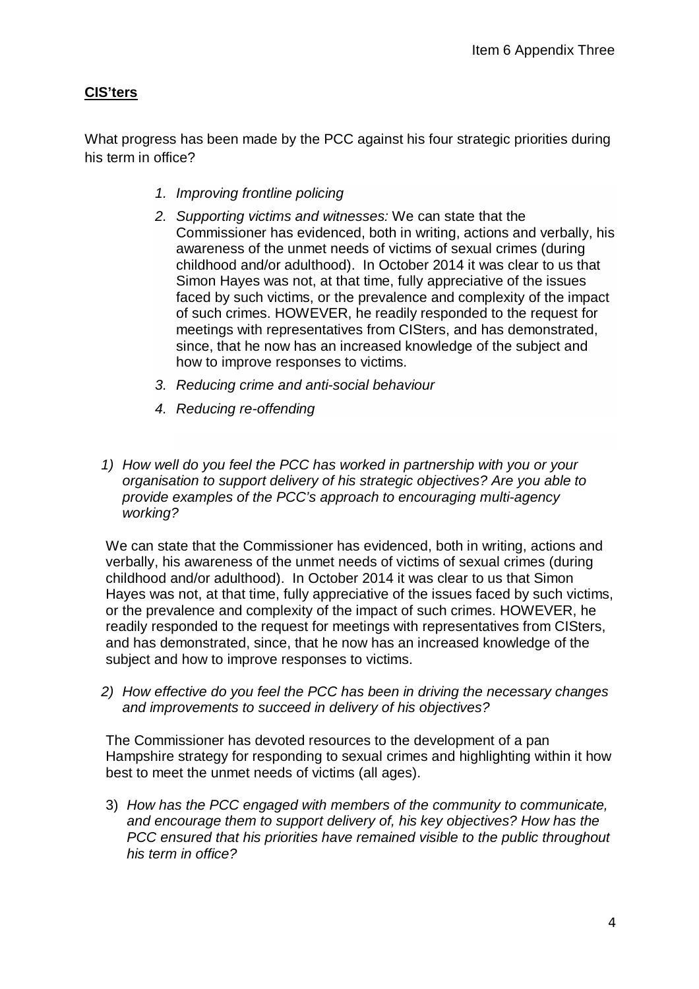## **CIS'ters**

What progress has been made by the PCC against his four strategic priorities during his term in office?

- *1. Improving frontline policing*
- *2. Supporting victims and witnesses:* We can state that the Commissioner has evidenced, both in writing, actions and verbally, his awareness of the unmet needs of victims of sexual crimes (during childhood and/or adulthood). In October 2014 it was clear to us that Simon Hayes was not, at that time, fully appreciative of the issues faced by such victims, or the prevalence and complexity of the impact of such crimes. HOWEVER, he readily responded to the request for meetings with representatives from CISters, and has demonstrated, since, that he now has an increased knowledge of the subject and how to improve responses to victims.
- *3. Reducing crime and anti-social behaviour*
- *4. Reducing re-offending*
- *1) How well do you feel the PCC has worked in partnership with you or your organisation to support delivery of his strategic objectives? Are you able to provide examples of the PCC's approach to encouraging multi-agency working?*

We can state that the Commissioner has evidenced, both in writing, actions and verbally, his awareness of the unmet needs of victims of sexual crimes (during childhood and/or adulthood). In October 2014 it was clear to us that Simon Hayes was not, at that time, fully appreciative of the issues faced by such victims, or the prevalence and complexity of the impact of such crimes. HOWEVER, he readily responded to the request for meetings with representatives from CISters, and has demonstrated, since, that he now has an increased knowledge of the subject and how to improve responses to victims.

*2) How effective do you feel the PCC has been in driving the necessary changes and improvements to succeed in delivery of his objectives?* 

The Commissioner has devoted resources to the development of a pan Hampshire strategy for responding to sexual crimes and highlighting within it how best to meet the unmet needs of victims (all ages).

3) *How has the PCC engaged with members of the community to communicate, and encourage them to support delivery of, his key objectives? How has the PCC ensured that his priorities have remained visible to the public throughout his term in office?*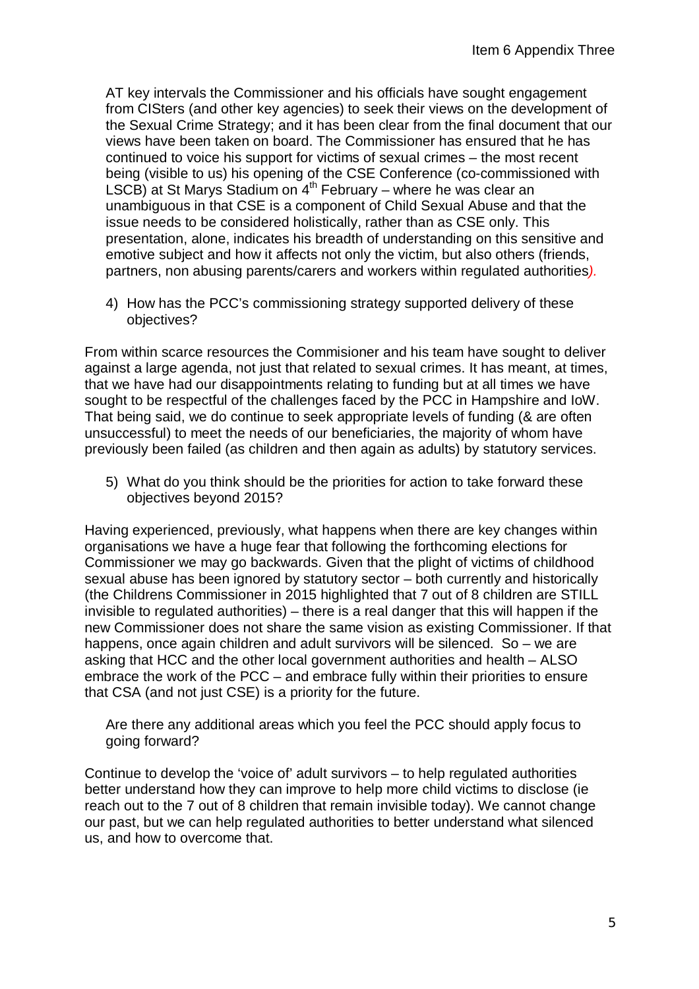AT key intervals the Commissioner and his officials have sought engagement from CISters (and other key agencies) to seek their views on the development of the Sexual Crime Strategy; and it has been clear from the final document that our views have been taken on board. The Commissioner has ensured that he has continued to voice his support for victims of sexual crimes – the most recent being (visible to us) his opening of the CSE Conference (co-commissioned with LSCB) at St Marys Stadium on  $4<sup>th</sup>$  February – where he was clear an unambiguous in that CSE is a component of Child Sexual Abuse and that the issue needs to be considered holistically, rather than as CSE only. This presentation, alone, indicates his breadth of understanding on this sensitive and emotive subject and how it affects not only the victim, but also others (friends, partners, non abusing parents/carers and workers within regulated authorities*).*

4) How has the PCC's commissioning strategy supported delivery of these objectives?

From within scarce resources the Commisioner and his team have sought to deliver against a large agenda, not just that related to sexual crimes. It has meant, at times, that we have had our disappointments relating to funding but at all times we have sought to be respectful of the challenges faced by the PCC in Hampshire and IoW. That being said, we do continue to seek appropriate levels of funding (& are often unsuccessful) to meet the needs of our beneficiaries, the majority of whom have previously been failed (as children and then again as adults) by statutory services.

5) What do you think should be the priorities for action to take forward these objectives beyond 2015?

Having experienced, previously, what happens when there are key changes within organisations we have a huge fear that following the forthcoming elections for Commissioner we may go backwards. Given that the plight of victims of childhood sexual abuse has been ignored by statutory sector – both currently and historically (the Childrens Commissioner in 2015 highlighted that 7 out of 8 children are STILL invisible to regulated authorities) – there is a real danger that this will happen if the new Commissioner does not share the same vision as existing Commissioner. If that happens, once again children and adult survivors will be silenced. So – we are asking that HCC and the other local government authorities and health – ALSO embrace the work of the PCC – and embrace fully within their priorities to ensure that CSA (and not just CSE) is a priority for the future.

Are there any additional areas which you feel the PCC should apply focus to going forward?

Continue to develop the 'voice of' adult survivors – to help regulated authorities better understand how they can improve to help more child victims to disclose (ie reach out to the 7 out of 8 children that remain invisible today). We cannot change our past, but we can help regulated authorities to better understand what silenced us, and how to overcome that.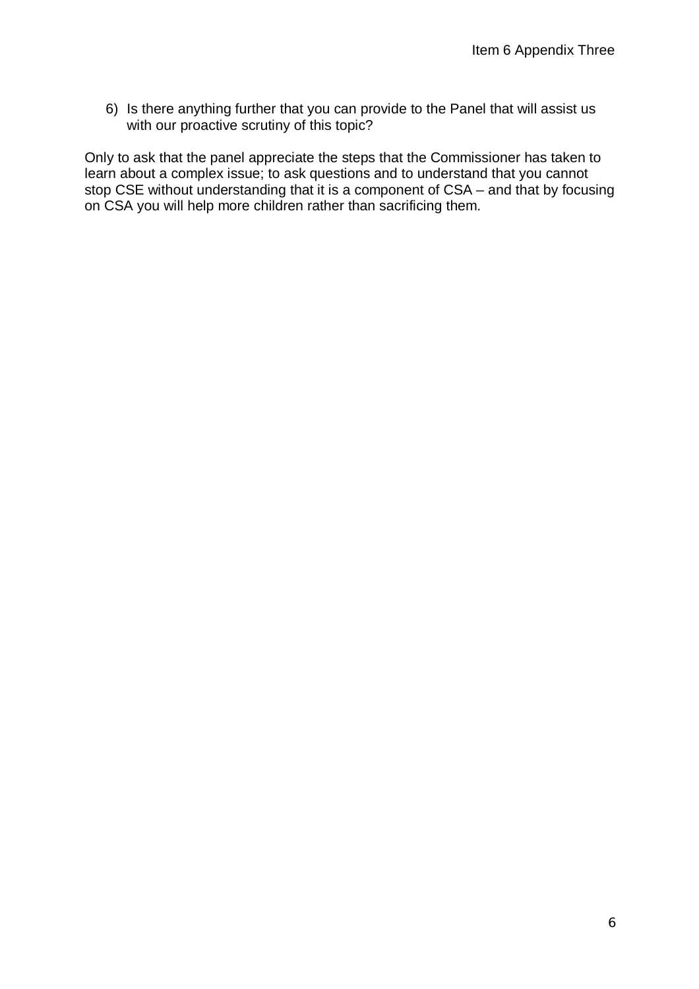6) Is there anything further that you can provide to the Panel that will assist us with our proactive scrutiny of this topic?

Only to ask that the panel appreciate the steps that the Commissioner has taken to learn about a complex issue; to ask questions and to understand that you cannot stop CSE without understanding that it is a component of CSA – and that by focusing on CSA you will help more children rather than sacrificing them.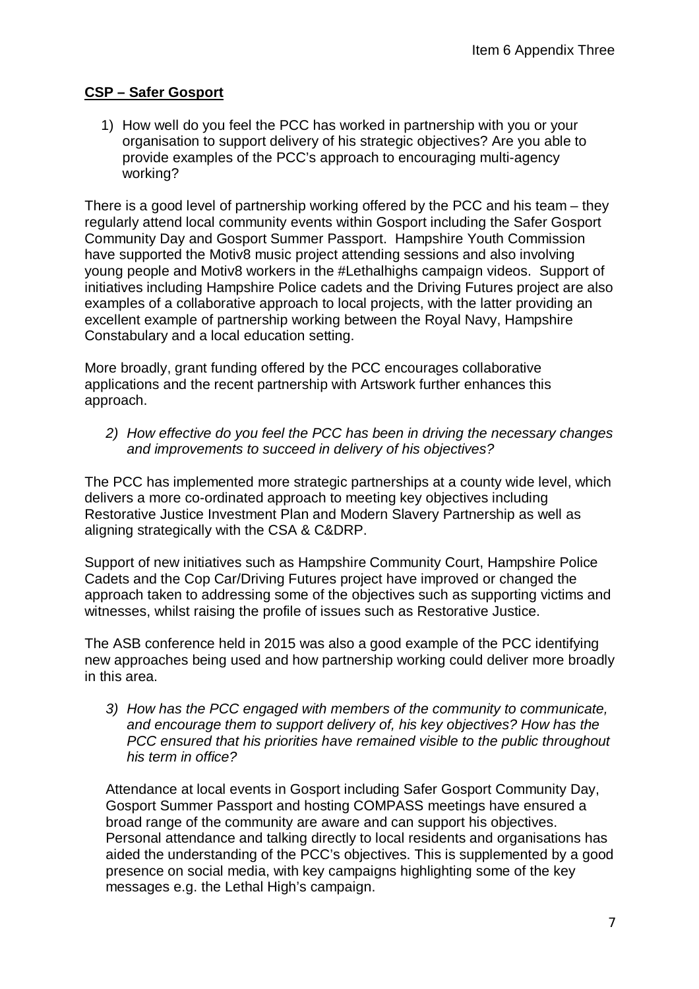## **CSP – Safer Gosport**

1) How well do you feel the PCC has worked in partnership with you or your organisation to support delivery of his strategic objectives? Are you able to provide examples of the PCC's approach to encouraging multi-agency working?

There is a good level of partnership working offered by the PCC and his team – they regularly attend local community events within Gosport including the Safer Gosport Community Day and Gosport Summer Passport. Hampshire Youth Commission have supported the Motiv8 music project attending sessions and also involving young people and Motiv8 workers in the #Lethalhighs campaign videos. Support of initiatives including Hampshire Police cadets and the Driving Futures project are also examples of a collaborative approach to local projects, with the latter providing an excellent example of partnership working between the Royal Navy, Hampshire Constabulary and a local education setting.

More broadly, grant funding offered by the PCC encourages collaborative applications and the recent partnership with Artswork further enhances this approach.

*2) How effective do you feel the PCC has been in driving the necessary changes and improvements to succeed in delivery of his objectives?*

The PCC has implemented more strategic partnerships at a county wide level, which delivers a more co-ordinated approach to meeting key objectives including Restorative Justice Investment Plan and Modern Slavery Partnership as well as aligning strategically with the CSA & C&DRP.

Support of new initiatives such as Hampshire Community Court, Hampshire Police Cadets and the Cop Car/Driving Futures project have improved or changed the approach taken to addressing some of the objectives such as supporting victims and witnesses, whilst raising the profile of issues such as Restorative Justice.

The ASB conference held in 2015 was also a good example of the PCC identifying new approaches being used and how partnership working could deliver more broadly in this area.

*3) How has the PCC engaged with members of the community to communicate, and encourage them to support delivery of, his key objectives? How has the PCC ensured that his priorities have remained visible to the public throughout his term in office?*

Attendance at local events in Gosport including Safer Gosport Community Day, Gosport Summer Passport and hosting COMPASS meetings have ensured a broad range of the community are aware and can support his objectives. Personal attendance and talking directly to local residents and organisations has aided the understanding of the PCC's objectives. This is supplemented by a good presence on social media, with key campaigns highlighting some of the key messages e.g. the Lethal High's campaign.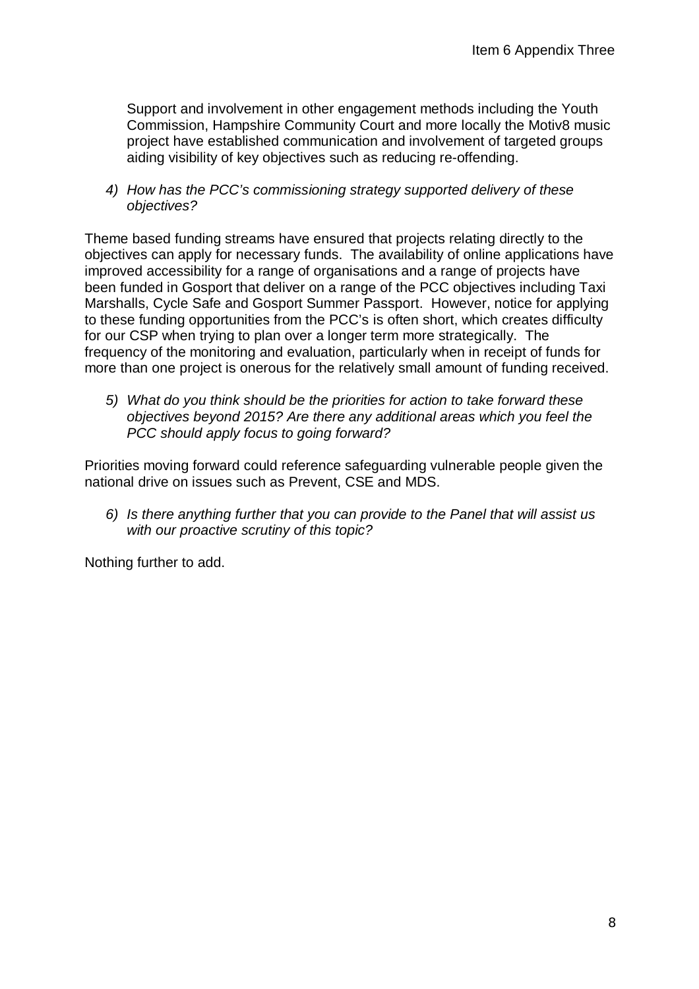Support and involvement in other engagement methods including the Youth Commission, Hampshire Community Court and more locally the Motiv8 music project have established communication and involvement of targeted groups aiding visibility of key objectives such as reducing re-offending.

*4) How has the PCC's commissioning strategy supported delivery of these objectives?*

Theme based funding streams have ensured that projects relating directly to the objectives can apply for necessary funds. The availability of online applications have improved accessibility for a range of organisations and a range of projects have been funded in Gosport that deliver on a range of the PCC objectives including Taxi Marshalls, Cycle Safe and Gosport Summer Passport. However, notice for applying to these funding opportunities from the PCC's is often short, which creates difficulty for our CSP when trying to plan over a longer term more strategically. The frequency of the monitoring and evaluation, particularly when in receipt of funds for more than one project is onerous for the relatively small amount of funding received.

*5) What do you think should be the priorities for action to take forward these objectives beyond 2015? Are there any additional areas which you feel the PCC should apply focus to going forward?*

Priorities moving forward could reference safeguarding vulnerable people given the national drive on issues such as Prevent, CSE and MDS.

*6) Is there anything further that you can provide to the Panel that will assist us with our proactive scrutiny of this topic?*

Nothing further to add.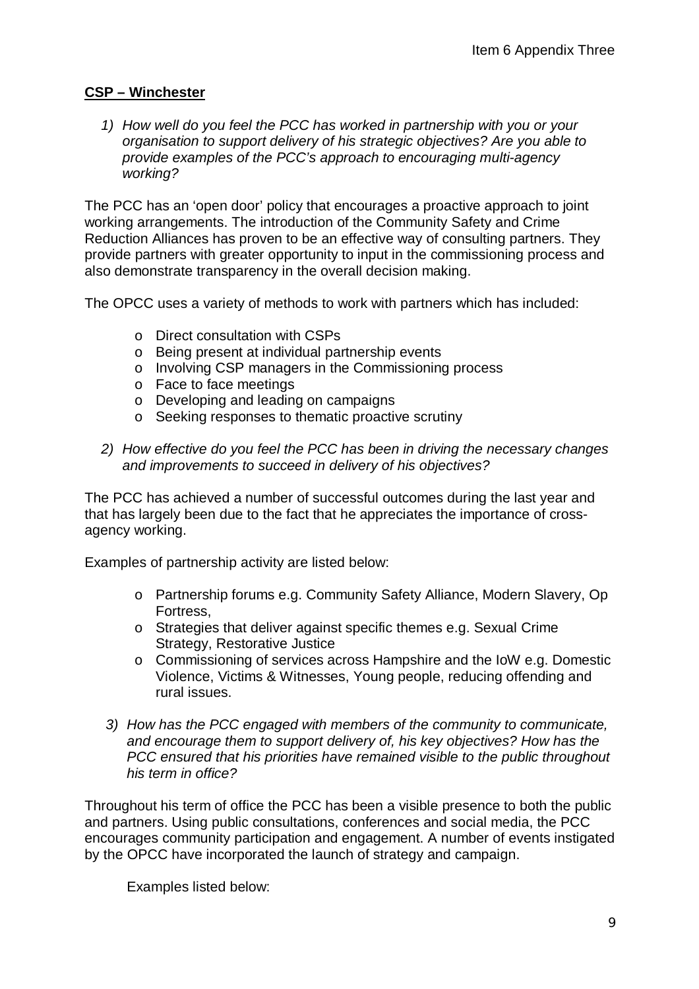## **CSP – Winchester**

*1) How well do you feel the PCC has worked in partnership with you or your organisation to support delivery of his strategic objectives? Are you able to provide examples of the PCC's approach to encouraging multi-agency working?*

The PCC has an 'open door' policy that encourages a proactive approach to joint working arrangements. The introduction of the Community Safety and Crime Reduction Alliances has proven to be an effective way of consulting partners. They provide partners with greater opportunity to input in the commissioning process and also demonstrate transparency in the overall decision making.

The OPCC uses a variety of methods to work with partners which has included:

- o Direct consultation with CSPs
- o Being present at individual partnership events
- o Involving CSP managers in the Commissioning process
- o Face to face meetings
- o Developing and leading on campaigns
- o Seeking responses to thematic proactive scrutiny
- *2) How effective do you feel the PCC has been in driving the necessary changes and improvements to succeed in delivery of his objectives?*

The PCC has achieved a number of successful outcomes during the last year and that has largely been due to the fact that he appreciates the importance of crossagency working.

Examples of partnership activity are listed below:

- o Partnership forums e.g. Community Safety Alliance, Modern Slavery, Op Fortress,
- o Strategies that deliver against specific themes e.g. Sexual Crime Strategy, Restorative Justice
- o Commissioning of services across Hampshire and the IoW e.g. Domestic Violence, Victims & Witnesses, Young people, reducing offending and rural issues.
- *3) How has the PCC engaged with members of the community to communicate, and encourage them to support delivery of, his key objectives? How has the PCC ensured that his priorities have remained visible to the public throughout his term in office?*

Throughout his term of office the PCC has been a visible presence to both the public and partners. Using public consultations, conferences and social media, the PCC encourages community participation and engagement. A number of events instigated by the OPCC have incorporated the launch of strategy and campaign.

Examples listed below: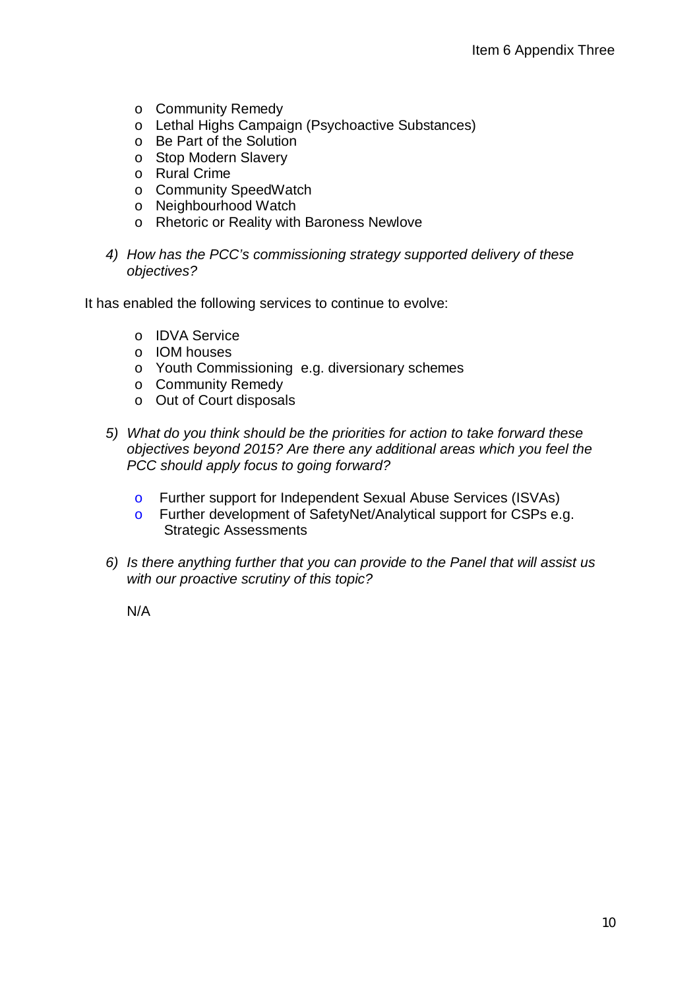- o Community Remedy
- o Lethal Highs Campaign (Psychoactive Substances)
- o Be Part of the Solution
- o Stop Modern Slavery
- o Rural Crime
- o Community SpeedWatch
- o Neighbourhood Watch
- o Rhetoric or Reality with Baroness Newlove
- *4) How has the PCC's commissioning strategy supported delivery of these objectives?*

It has enabled the following services to continue to evolve:

- o IDVA Service
- o IOM houses
- o Youth Commissioning e.g. diversionary schemes
- o Community Remedy
- o Out of Court disposals
- *5) What do you think should be the priorities for action to take forward these objectives beyond 2015? Are there any additional areas which you feel the PCC should apply focus to going forward?*
	- o Further support for Independent Sexual Abuse Services (ISVAs)
	- o Further development of SafetyNet/Analytical support for CSPs e.g. Strategic Assessments
- *6) Is there anything further that you can provide to the Panel that will assist us with our proactive scrutiny of this topic?*

N/A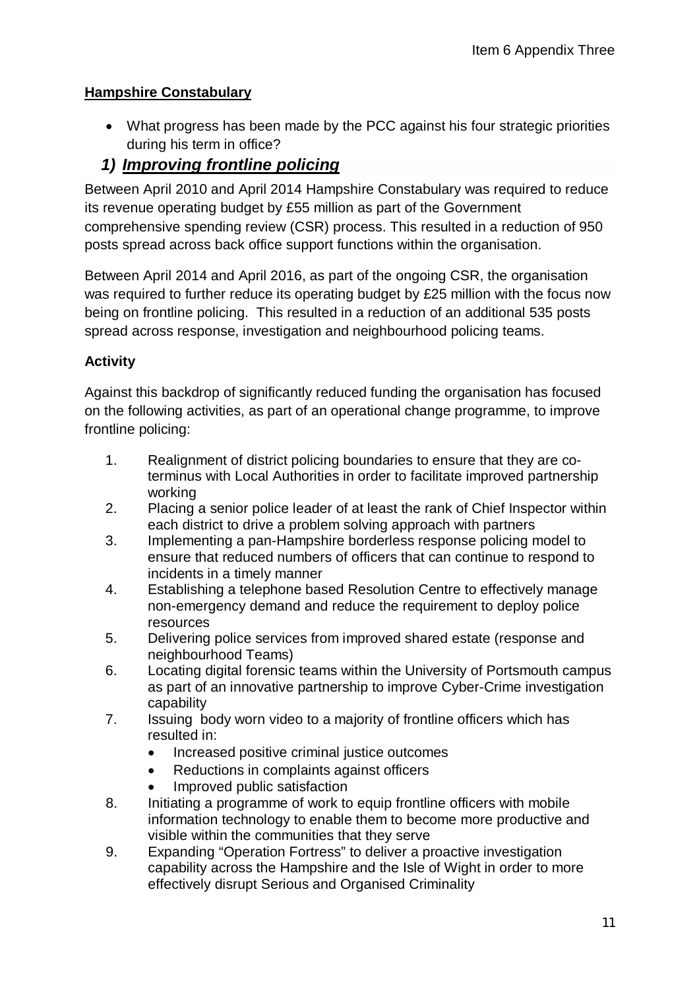# **Hampshire Constabulary**

 What progress has been made by the PCC against his four strategic priorities during his term in office?

# *1) Improving frontline policing*

Between April 2010 and April 2014 Hampshire Constabulary was required to reduce its revenue operating budget by £55 million as part of the Government comprehensive spending review (CSR) process. This resulted in a reduction of 950 posts spread across back office support functions within the organisation.

Between April 2014 and April 2016, as part of the ongoing CSR, the organisation was required to further reduce its operating budget by £25 million with the focus now being on frontline policing. This resulted in a reduction of an additional 535 posts spread across response, investigation and neighbourhood policing teams.

## **Activity**

Against this backdrop of significantly reduced funding the organisation has focused on the following activities, as part of an operational change programme, to improve frontline policing:

- 1. Realignment of district policing boundaries to ensure that they are coterminus with Local Authorities in order to facilitate improved partnership working
- 2. Placing a senior police leader of at least the rank of Chief Inspector within each district to drive a problem solving approach with partners
- 3. Implementing a pan-Hampshire borderless response policing model to ensure that reduced numbers of officers that can continue to respond to incidents in a timely manner
- 4. Establishing a telephone based Resolution Centre to effectively manage non-emergency demand and reduce the requirement to deploy police resources
- 5. Delivering police services from improved shared estate (response and neighbourhood Teams)
- 6. Locating digital forensic teams within the University of Portsmouth campus as part of an innovative partnership to improve Cyber-Crime investigation capability
- 7. Issuing body worn video to a majority of frontline officers which has resulted in:
	- Increased positive criminal justice outcomes
	- Reductions in complaints against officers
	- Improved public satisfaction
- 8. Initiating a programme of work to equip frontline officers with mobile information technology to enable them to become more productive and visible within the communities that they serve
- 9. Expanding "Operation Fortress" to deliver a proactive investigation capability across the Hampshire and the Isle of Wight in order to more effectively disrupt Serious and Organised Criminality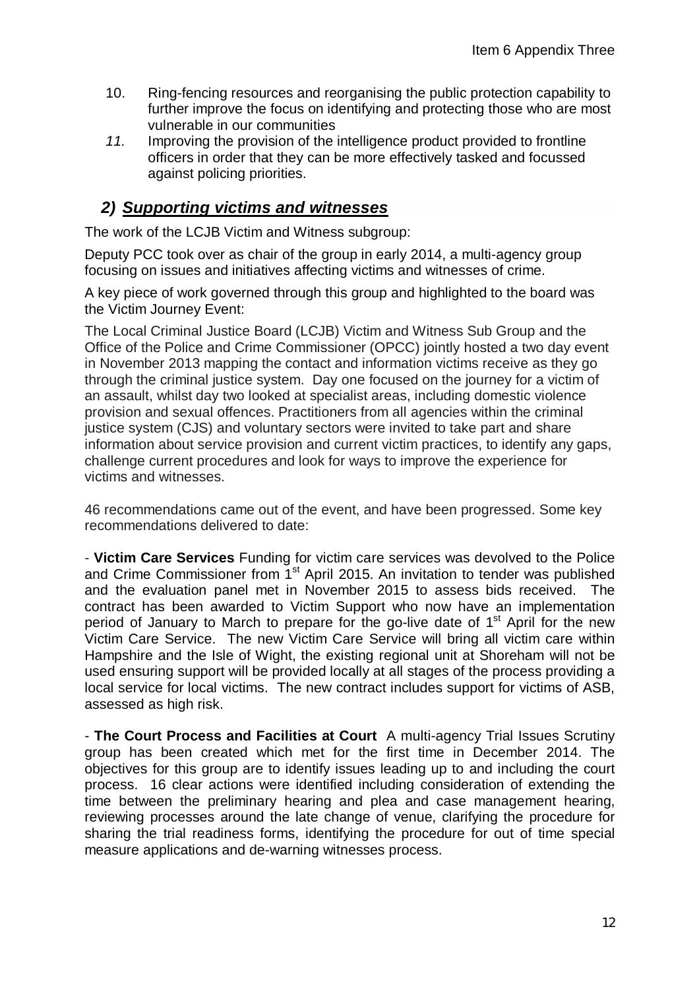- 10. Ring-fencing resources and reorganising the public protection capability to further improve the focus on identifying and protecting those who are most vulnerable in our communities
- *11.* Improving the provision of the intelligence product provided to frontline officers in order that they can be more effectively tasked and focussed against policing priorities.

# *2) Supporting victims and witnesses*

The work of the LCJB Victim and Witness subgroup:

Deputy PCC took over as chair of the group in early 2014, a multi-agency group focusing on issues and initiatives affecting victims and witnesses of crime.

A key piece of work governed through this group and highlighted to the board was the Victim Journey Event:

The Local Criminal Justice Board (LCJB) Victim and Witness Sub Group and the Office of the Police and Crime Commissioner (OPCC) jointly hosted a two day event in November 2013 mapping the contact and information victims receive as they go through the criminal justice system. Day one focused on the journey for a victim of an assault, whilst day two looked at specialist areas, including domestic violence provision and sexual offences. Practitioners from all agencies within the criminal justice system (CJS) and voluntary sectors were invited to take part and share information about service provision and current victim practices, to identify any gaps, challenge current procedures and look for ways to improve the experience for victims and witnesses.

46 recommendations came out of the event, and have been progressed. Some key recommendations delivered to date:

- **Victim Care Services** Funding for victim care services was devolved to the Police and Crime Commissioner from 1<sup>st</sup> April 2015. An invitation to tender was published and the evaluation panel met in November 2015 to assess bids received. The contract has been awarded to Victim Support who now have an implementation period of January to March to prepare for the go-live date of  $1<sup>st</sup>$  April for the new Victim Care Service. The new Victim Care Service will bring all victim care within Hampshire and the Isle of Wight, the existing regional unit at Shoreham will not be used ensuring support will be provided locally at all stages of the process providing a local service for local victims. The new contract includes support for victims of ASB, assessed as high risk.

- **The Court Process and Facilities at Court** A multi-agency Trial Issues Scrutiny group has been created which met for the first time in December 2014. The objectives for this group are to identify issues leading up to and including the court process. 16 clear actions were identified including consideration of extending the time between the preliminary hearing and plea and case management hearing, reviewing processes around the late change of venue, clarifying the procedure for sharing the trial readiness forms, identifying the procedure for out of time special measure applications and de-warning witnesses process.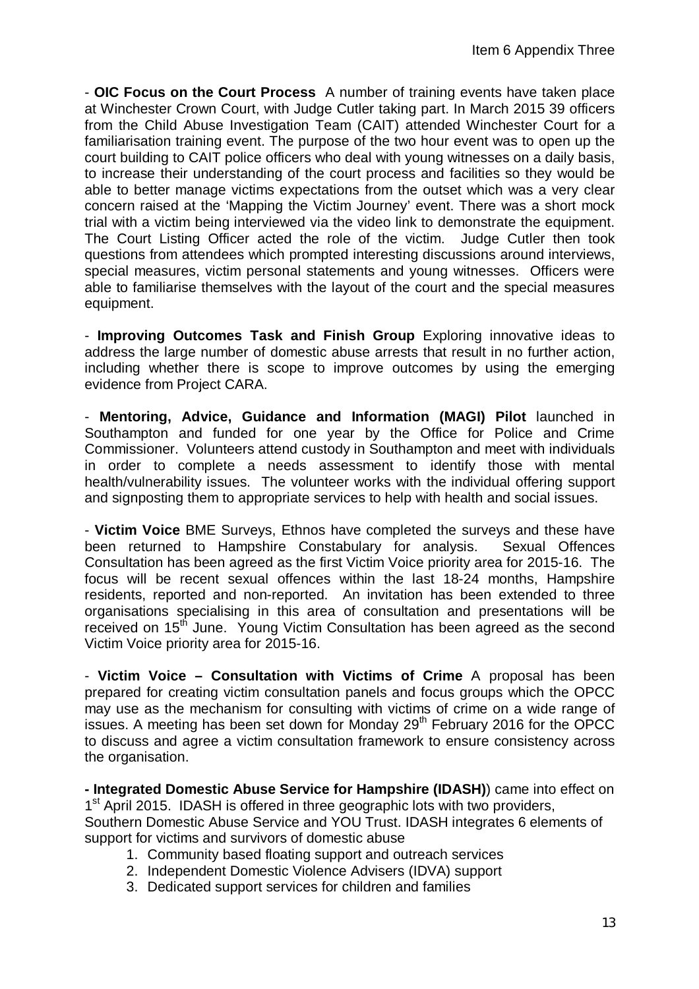- **OIC Focus on the Court Process** A number of training events have taken place at Winchester Crown Court, with Judge Cutler taking part. In March 2015 39 officers from the Child Abuse Investigation Team (CAIT) attended Winchester Court for a familiarisation training event. The purpose of the two hour event was to open up the court building to CAIT police officers who deal with young witnesses on a daily basis, to increase their understanding of the court process and facilities so they would be able to better manage victims expectations from the outset which was a very clear concern raised at the 'Mapping the Victim Journey' event. There was a short mock trial with a victim being interviewed via the video link to demonstrate the equipment. The Court Listing Officer acted the role of the victim. Judge Cutler then took questions from attendees which prompted interesting discussions around interviews, special measures, victim personal statements and young witnesses. Officers were able to familiarise themselves with the layout of the court and the special measures equipment.

- **Improving Outcomes Task and Finish Group** Exploring innovative ideas to address the large number of domestic abuse arrests that result in no further action, including whether there is scope to improve outcomes by using the emerging evidence from Project CARA.

- **Mentoring, Advice, Guidance and Information (MAGI) Pilot** launched in Southampton and funded for one year by the Office for Police and Crime Commissioner. Volunteers attend custody in Southampton and meet with individuals in order to complete a needs assessment to identify those with mental health/vulnerability issues. The volunteer works with the individual offering support and signposting them to appropriate services to help with health and social issues.

- **Victim Voice** BME Surveys, Ethnos have completed the surveys and these have been returned to Hampshire Constabulary for analysis. Sexual Offences Consultation has been agreed as the first Victim Voice priority area for 2015-16. The focus will be recent sexual offences within the last 18-24 months, Hampshire residents, reported and non-reported. An invitation has been extended to three organisations specialising in this area of consultation and presentations will be received on 15<sup>th</sup> June. Young Victim Consultation has been agreed as the second Victim Voice priority area for 2015-16.

- **Victim Voice – Consultation with Victims of Crime** A proposal has been prepared for creating victim consultation panels and focus groups which the OPCC may use as the mechanism for consulting with victims of crime on a wide range of issues. A meeting has been set down for Monday  $29<sup>th</sup>$  February 2016 for the OPCC to discuss and agree a victim consultation framework to ensure consistency across the organisation.

**- Integrated Domestic Abuse Service for Hampshire (IDASH)**) came into effect on 1<sup>st</sup> April 2015. IDASH is offered in three geographic lots with two providers, Southern Domestic Abuse Service and YOU Trust. IDASH integrates 6 elements of support for victims and survivors of domestic abuse

- 1. Community based floating support and outreach services
- 2. Independent Domestic Violence Advisers (IDVA) support
- 3. Dedicated support services for children and families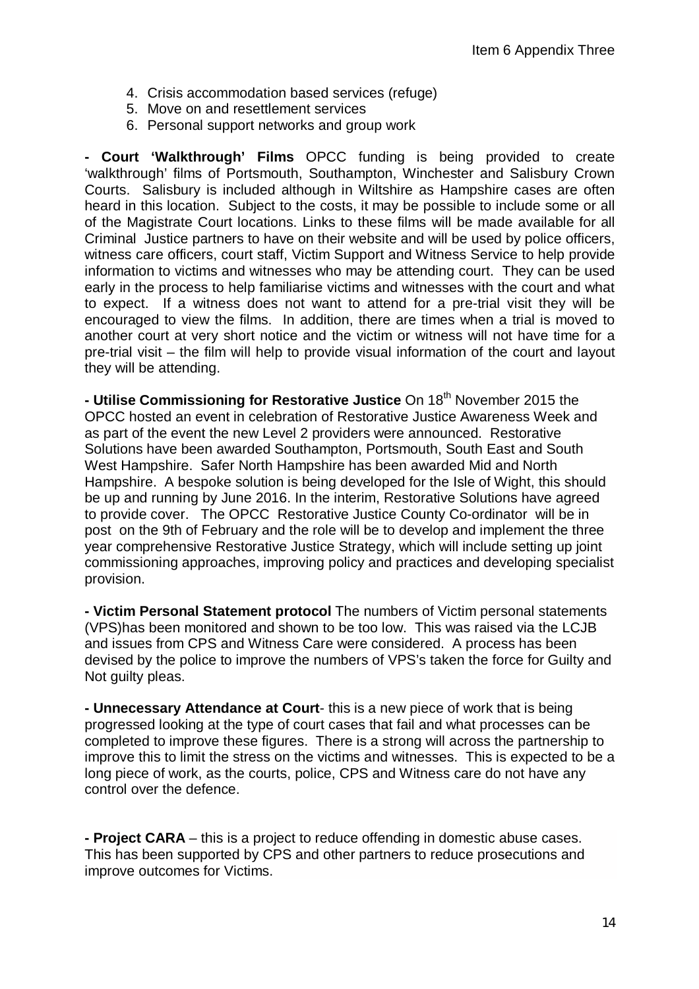- 4. Crisis accommodation based services (refuge)
- 5. Move on and resettlement services
- 6. Personal support networks and group work

**- Court 'Walkthrough' Films** OPCC funding is being provided to create 'walkthrough' films of Portsmouth, Southampton, Winchester and Salisbury Crown Courts. Salisbury is included although in Wiltshire as Hampshire cases are often heard in this location. Subject to the costs, it may be possible to include some or all of the Magistrate Court locations. Links to these films will be made available for all Criminal Justice partners to have on their website and will be used by police officers, witness care officers, court staff, Victim Support and Witness Service to help provide information to victims and witnesses who may be attending court. They can be used early in the process to help familiarise victims and witnesses with the court and what to expect. If a witness does not want to attend for a pre-trial visit they will be encouraged to view the films. In addition, there are times when a trial is moved to another court at very short notice and the victim or witness will not have time for a pre-trial visit – the film will help to provide visual information of the court and layout they will be attending.

**- Utilise Commissioning for Restorative Justice** On 18th November 2015 the OPCC hosted an event in celebration of Restorative Justice Awareness Week and as part of the event the new Level 2 providers were announced. Restorative Solutions have been awarded Southampton, Portsmouth, South East and South West Hampshire. Safer North Hampshire has been awarded Mid and North Hampshire. A bespoke solution is being developed for the Isle of Wight, this should be up and running by June 2016. In the interim, Restorative Solutions have agreed to provide cover. The OPCC Restorative Justice County Co-ordinator will be in post on the 9th of February and the role will be to develop and implement the three year comprehensive Restorative Justice Strategy, which will include setting up joint commissioning approaches, improving policy and practices and developing specialist provision.

**- Victim Personal Statement protocol** The numbers of Victim personal statements (VPS)has been monitored and shown to be too low. This was raised via the LCJB and issues from CPS and Witness Care were considered. A process has been devised by the police to improve the numbers of VPS's taken the force for Guilty and Not guilty pleas.

**- Unnecessary Attendance at Court**- this is a new piece of work that is being progressed looking at the type of court cases that fail and what processes can be completed to improve these figures. There is a strong will across the partnership to improve this to limit the stress on the victims and witnesses. This is expected to be a long piece of work, as the courts, police, CPS and Witness care do not have any control over the defence.

**- Project CARA** – this is a project to reduce offending in domestic abuse cases. This has been supported by CPS and other partners to reduce prosecutions and improve outcomes for Victims.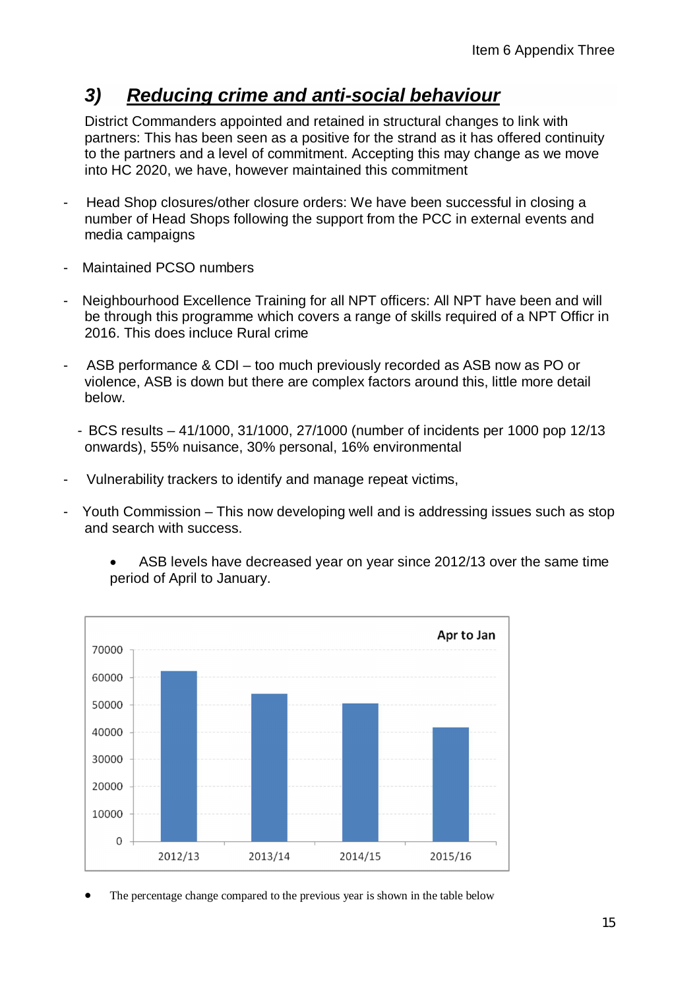# *3) Reducing crime and anti-social behaviour*

District Commanders appointed and retained in structural changes to link with partners: This has been seen as a positive for the strand as it has offered continuity to the partners and a level of commitment. Accepting this may change as we move into HC 2020, we have, however maintained this commitment

- Head Shop closures/other closure orders: We have been successful in closing a number of Head Shops following the support from the PCC in external events and media campaigns
- Maintained PCSO numbers
- Neighbourhood Excellence Training for all NPT officers: All NPT have been and will be through this programme which covers a range of skills required of a NPT Officr in 2016. This does incluce Rural crime
- ASB performance & CDI too much previously recorded as ASB now as PO or violence, ASB is down but there are complex factors around this, little more detail below.
	- BCS results 41/1000, 31/1000, 27/1000 (number of incidents per 1000 pop 12/13 onwards), 55% nuisance, 30% personal, 16% environmental
- Vulnerability trackers to identify and manage repeat victims,
- Youth Commission This now developing well and is addressing issues such as stop and search with success.



 ASB levels have decreased year on year since 2012/13 over the same time period of April to January.

The percentage change compared to the previous year is shown in the table below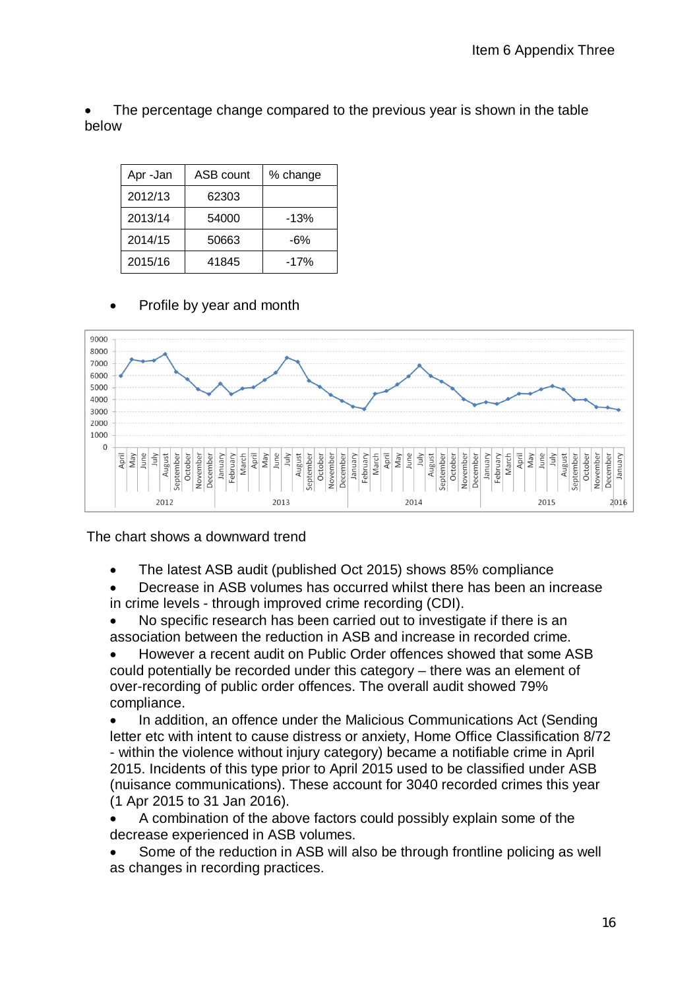The percentage change compared to the previous year is shown in the table below

| Apr-Jan | ASB count | % change |
|---------|-----------|----------|
| 2012/13 | 62303     |          |
| 2013/14 | 54000     | $-13%$   |
| 2014/15 | 50663     | -6%      |
| 2015/16 | 41845     | $-17%$   |

Profile by year and month



The chart shows a downward trend

- The latest ASB audit (published Oct 2015) shows 85% compliance
- Decrease in ASB volumes has occurred whilst there has been an increase in crime levels - through improved crime recording (CDI).
- No specific research has been carried out to investigate if there is an association between the reduction in ASB and increase in recorded crime.
- However a recent audit on Public Order offences showed that some ASB could potentially be recorded under this category – there was an element of over-recording of public order offences. The overall audit showed 79% compliance.
- In addition, an offence under the Malicious Communications Act (Sending letter etc with intent to cause distress or anxiety, Home Office Classification 8/72 - within the violence without injury category) became a notifiable crime in April 2015. Incidents of this type prior to April 2015 used to be classified under ASB (nuisance communications). These account for 3040 recorded crimes this year (1 Apr 2015 to 31 Jan 2016).
- A combination of the above factors could possibly explain some of the decrease experienced in ASB volumes.
- Some of the reduction in ASB will also be through frontline policing as well as changes in recording practices.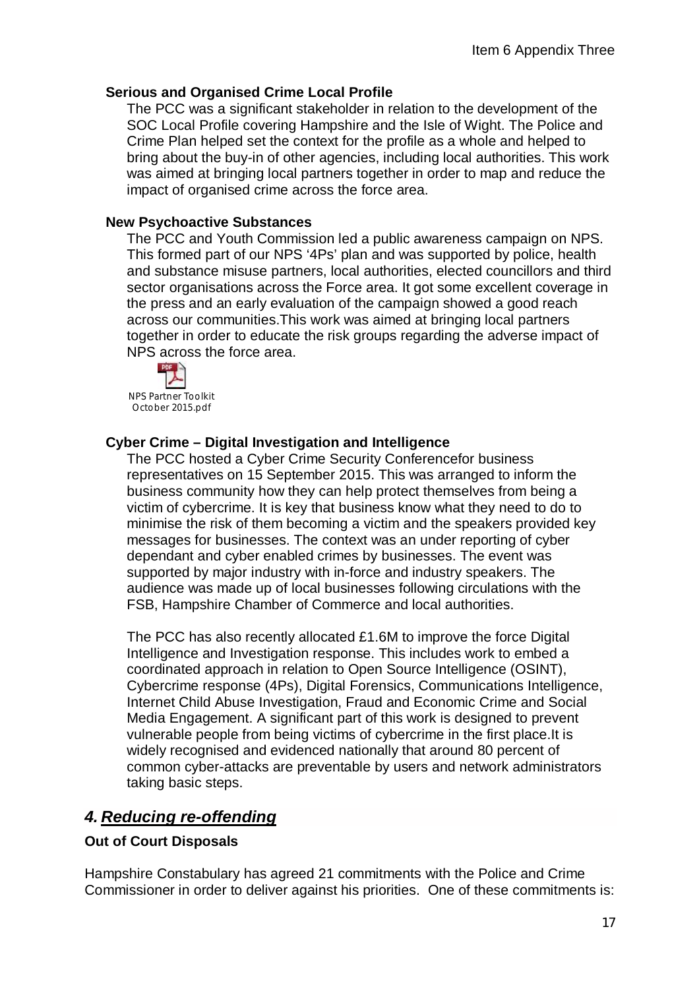#### **Serious and Organised Crime Local Profile**

The PCC was a significant stakeholder in relation to the development of the SOC Local Profile covering Hampshire and the Isle of Wight. The Police and Crime Plan helped set the context for the profile as a whole and helped to bring about the buy-in of other agencies, including local authorities. This work was aimed at bringing local partners together in order to map and reduce the impact of organised crime across the force area.

#### **New Psychoactive Substances**

The PCC and Youth Commission led a public awareness campaign on NPS. This formed part of our NPS '4Ps' plan and was supported by police, health and substance misuse partners, local authorities, elected councillors and third sector organisations across the Force area. It got some excellent coverage in the press and an early evaluation of the campaign showed a good reach across our communities.This work was aimed at bringing local partners together in order to educate the risk groups regarding the adverse impact of NPS across the force area.



NPS Partner Toolkit October 2015.pdf

#### **Cyber Crime – Digital Investigation and Intelligence**

The PCC hosted a Cyber Crime Security Conferencefor business representatives on 15 September 2015. This was arranged to inform the business community how they can help protect themselves from being a victim of cybercrime. It is key that business know what they need to do to minimise the risk of them becoming a victim and the speakers provided key messages for businesses. The context was an under reporting of cyber dependant and cyber enabled crimes by businesses. The event was supported by major industry with in-force and industry speakers. The audience was made up of local businesses following circulations with the FSB, Hampshire Chamber of Commerce and local authorities.

The PCC has also recently allocated £1.6M to improve the force Digital Intelligence and Investigation response. This includes work to embed a coordinated approach in relation to Open Source Intelligence (OSINT), Cybercrime response (4Ps), Digital Forensics, Communications Intelligence, Internet Child Abuse Investigation, Fraud and Economic Crime and Social Media Engagement. A significant part of this work is designed to prevent vulnerable people from being victims of cybercrime in the first place.It is widely recognised and evidenced nationally that around 80 percent of common cyber-attacks are preventable by users and network administrators taking basic steps.

# *4. Reducing re-offending*

#### **Out of Court Disposals**

Hampshire Constabulary has agreed 21 commitments with the Police and Crime Commissioner in order to deliver against his priorities. One of these commitments is: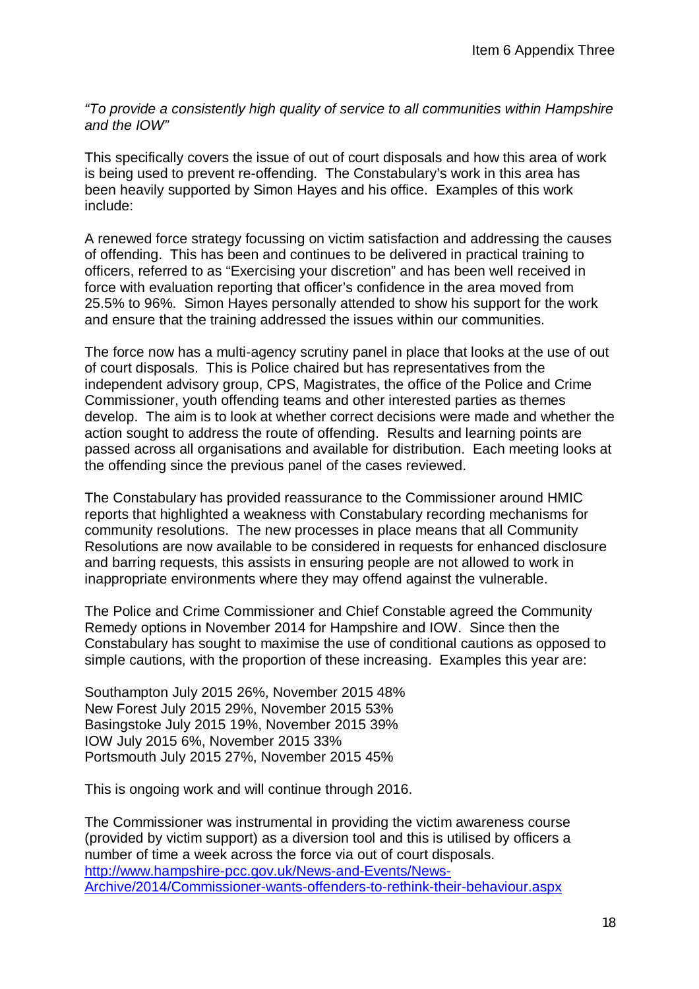*"To provide a consistently high quality of service to all communities within Hampshire and the IOW"*

This specifically covers the issue of out of court disposals and how this area of work is being used to prevent re-offending. The Constabulary's work in this area has been heavily supported by Simon Hayes and his office. Examples of this work include:

A renewed force strategy focussing on victim satisfaction and addressing the causes of offending. This has been and continues to be delivered in practical training to officers, referred to as "Exercising your discretion" and has been well received in force with evaluation reporting that officer's confidence in the area moved from 25.5% to 96%. Simon Hayes personally attended to show his support for the work and ensure that the training addressed the issues within our communities.

The force now has a multi-agency scrutiny panel in place that looks at the use of out of court disposals. This is Police chaired but has representatives from the independent advisory group, CPS, Magistrates, the office of the Police and Crime Commissioner, youth offending teams and other interested parties as themes develop. The aim is to look at whether correct decisions were made and whether the action sought to address the route of offending. Results and learning points are passed across all organisations and available for distribution. Each meeting looks at the offending since the previous panel of the cases reviewed.

The Constabulary has provided reassurance to the Commissioner around HMIC reports that highlighted a weakness with Constabulary recording mechanisms for community resolutions. The new processes in place means that all Community Resolutions are now available to be considered in requests for enhanced disclosure and barring requests, this assists in ensuring people are not allowed to work in inappropriate environments where they may offend against the vulnerable.

The Police and Crime Commissioner and Chief Constable agreed the Community Remedy options in November 2014 for Hampshire and IOW. Since then the Constabulary has sought to maximise the use of conditional cautions as opposed to simple cautions, with the proportion of these increasing. Examples this year are:

Southampton July 2015 26%, November 2015 48% New Forest July 2015 29%, November 2015 53% Basingstoke July 2015 19%, November 2015 39% IOW July 2015 6%, November 2015 33% Portsmouth July 2015 27%, November 2015 45%

This is ongoing work and will continue through 2016.

The Commissioner was instrumental in providing the victim awareness course (provided by victim support) as a diversion tool and this is utilised by officers a number of time a week across the force via out of court disposals. <http://www.hampshire-pcc.gov.uk/News-and-Events/News->Archive/2014/Commissioner-wants-offenders-to-rethink-their-behaviour.aspx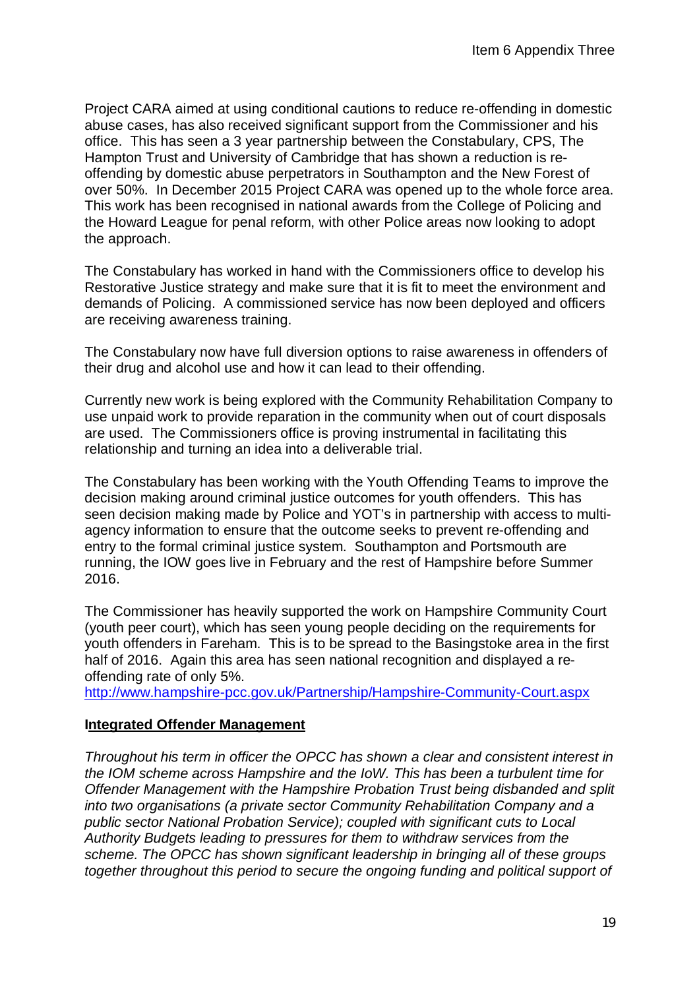Project CARA aimed at using conditional cautions to reduce re-offending in domestic abuse cases, has also received significant support from the Commissioner and his office. This has seen a 3 year partnership between the Constabulary, CPS, The Hampton Trust and University of Cambridge that has shown a reduction is reoffending by domestic abuse perpetrators in Southampton and the New Forest of over 50%. In December 2015 Project CARA was opened up to the whole force area. This work has been recognised in national awards from the College of Policing and the Howard League for penal reform, with other Police areas now looking to adopt the approach.

The Constabulary has worked in hand with the Commissioners office to develop his Restorative Justice strategy and make sure that it is fit to meet the environment and demands of Policing. A commissioned service has now been deployed and officers are receiving awareness training.

The Constabulary now have full diversion options to raise awareness in offenders of their drug and alcohol use and how it can lead to their offending.

Currently new work is being explored with the Community Rehabilitation Company to use unpaid work to provide reparation in the community when out of court disposals are used. The Commissioners office is proving instrumental in facilitating this relationship and turning an idea into a deliverable trial.

The Constabulary has been working with the Youth Offending Teams to improve the decision making around criminal justice outcomes for youth offenders. This has seen decision making made by Police and YOT's in partnership with access to multiagency information to ensure that the outcome seeks to prevent re-offending and entry to the formal criminal justice system. Southampton and Portsmouth are running, the IOW goes live in February and the rest of Hampshire before Summer 2016.

The Commissioner has heavily supported the work on Hampshire Community Court (youth peer court), which has seen young people deciding on the requirements for youth offenders in Fareham. This is to be spread to the Basingstoke area in the first half of 2016. Again this area has seen national recognition and displayed a reoffending rate of only 5%.

<http://www.hampshire-pcc.gov.uk/Partnership/Hampshire-Community-Court.aspx>

#### **Integrated Offender Management**

*Throughout his term in officer the OPCC has shown a clear and consistent interest in the IOM scheme across Hampshire and the IoW. This has been a turbulent time for Offender Management with the Hampshire Probation Trust being disbanded and split into two organisations (a private sector Community Rehabilitation Company and a public sector National Probation Service); coupled with significant cuts to Local Authority Budgets leading to pressures for them to withdraw services from the scheme. The OPCC has shown significant leadership in bringing all of these groups together throughout this period to secure the ongoing funding and political support of*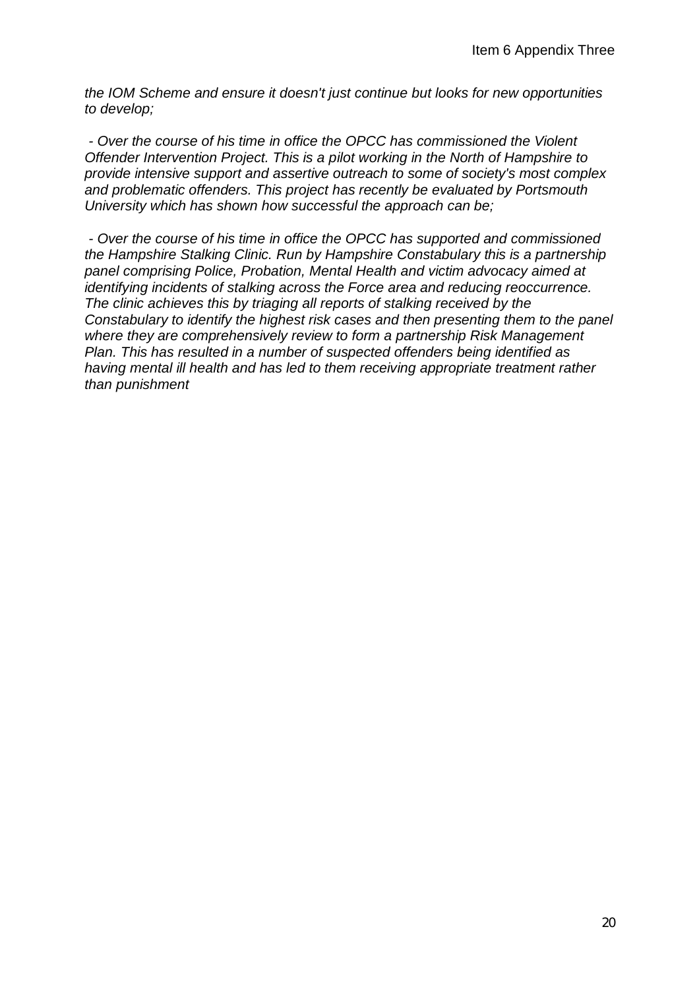*the IOM Scheme and ensure it doesn't just continue but looks for new opportunities to develop;*

*- Over the course of his time in office the OPCC has commissioned the Violent Offender Intervention Project. This is a pilot working in the North of Hampshire to provide intensive support and assertive outreach to some of society's most complex and problematic offenders. This project has recently be evaluated by Portsmouth University which has shown how successful the approach can be;*

*- Over the course of his time in office the OPCC has supported and commissioned the Hampshire Stalking Clinic. Run by Hampshire Constabulary this is a partnership panel comprising Police, Probation, Mental Health and victim advocacy aimed at identifying incidents of stalking across the Force area and reducing reoccurrence. The clinic achieves this by triaging all reports of stalking received by the Constabulary to identify the highest risk cases and then presenting them to the panel where they are comprehensively review to form a partnership Risk Management Plan. This has resulted in a number of suspected offenders being identified as having mental ill health and has led to them receiving appropriate treatment rather than punishment*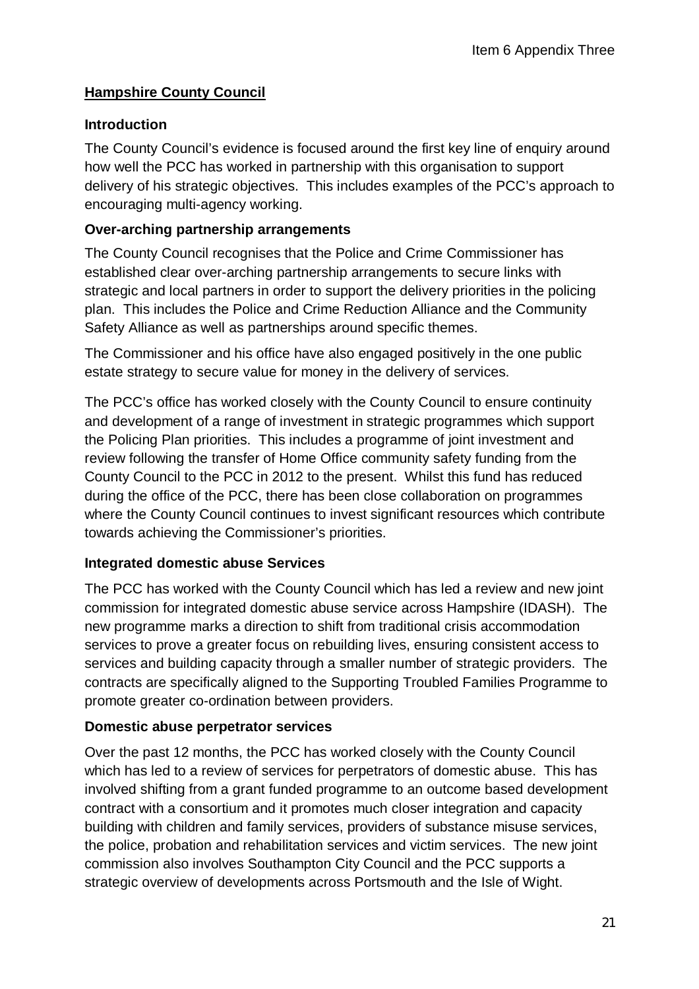## **Hampshire County Council**

#### **Introduction**

The County Council's evidence is focused around the first key line of enquiry around how well the PCC has worked in partnership with this organisation to support delivery of his strategic objectives. This includes examples of the PCC's approach to encouraging multi-agency working.

#### **Over-arching partnership arrangements**

The County Council recognises that the Police and Crime Commissioner has established clear over-arching partnership arrangements to secure links with strategic and local partners in order to support the delivery priorities in the policing plan. This includes the Police and Crime Reduction Alliance and the Community Safety Alliance as well as partnerships around specific themes.

The Commissioner and his office have also engaged positively in the one public estate strategy to secure value for money in the delivery of services.

The PCC's office has worked closely with the County Council to ensure continuity and development of a range of investment in strategic programmes which support the Policing Plan priorities. This includes a programme of joint investment and review following the transfer of Home Office community safety funding from the County Council to the PCC in 2012 to the present. Whilst this fund has reduced during the office of the PCC, there has been close collaboration on programmes where the County Council continues to invest significant resources which contribute towards achieving the Commissioner's priorities.

#### **Integrated domestic abuse Services**

The PCC has worked with the County Council which has led a review and new joint commission for integrated domestic abuse service across Hampshire (IDASH). The new programme marks a direction to shift from traditional crisis accommodation services to prove a greater focus on rebuilding lives, ensuring consistent access to services and building capacity through a smaller number of strategic providers. The contracts are specifically aligned to the Supporting Troubled Families Programme to promote greater co-ordination between providers.

#### **Domestic abuse perpetrator services**

Over the past 12 months, the PCC has worked closely with the County Council which has led to a review of services for perpetrators of domestic abuse. This has involved shifting from a grant funded programme to an outcome based development contract with a consortium and it promotes much closer integration and capacity building with children and family services, providers of substance misuse services, the police, probation and rehabilitation services and victim services. The new joint commission also involves Southampton City Council and the PCC supports a strategic overview of developments across Portsmouth and the Isle of Wight.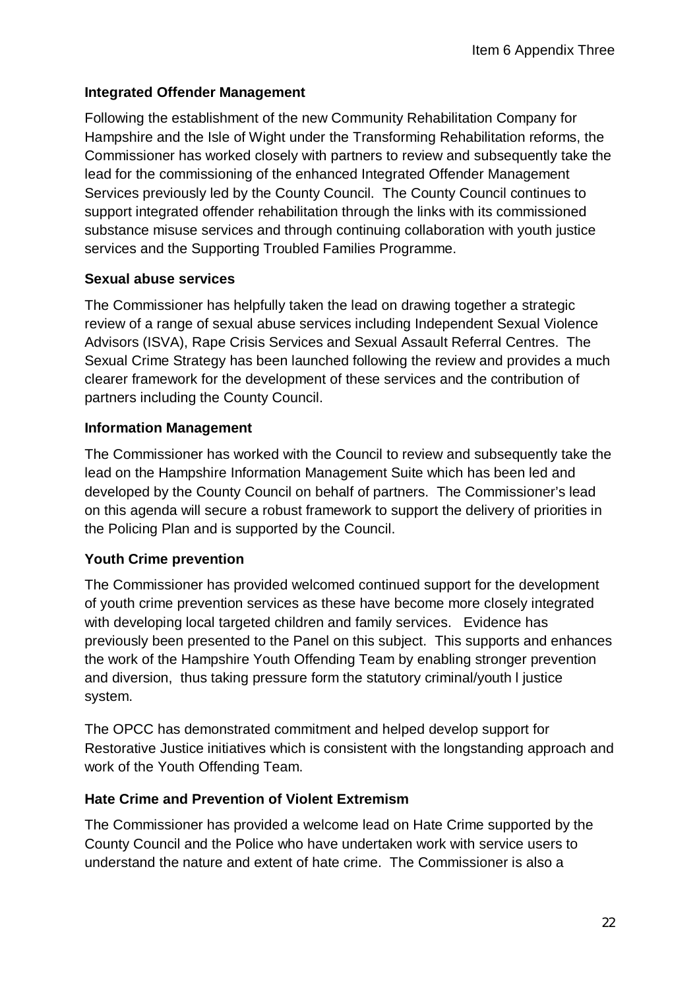## **Integrated Offender Management**

Following the establishment of the new Community Rehabilitation Company for Hampshire and the Isle of Wight under the Transforming Rehabilitation reforms, the Commissioner has worked closely with partners to review and subsequently take the lead for the commissioning of the enhanced Integrated Offender Management Services previously led by the County Council. The County Council continues to support integrated offender rehabilitation through the links with its commissioned substance misuse services and through continuing collaboration with youth justice services and the Supporting Troubled Families Programme.

## **Sexual abuse services**

The Commissioner has helpfully taken the lead on drawing together a strategic review of a range of sexual abuse services including Independent Sexual Violence Advisors (ISVA), Rape Crisis Services and Sexual Assault Referral Centres. The Sexual Crime Strategy has been launched following the review and provides a much clearer framework for the development of these services and the contribution of partners including the County Council.

## **Information Management**

The Commissioner has worked with the Council to review and subsequently take the lead on the Hampshire Information Management Suite which has been led and developed by the County Council on behalf of partners. The Commissioner's lead on this agenda will secure a robust framework to support the delivery of priorities in the Policing Plan and is supported by the Council.

## **Youth Crime prevention**

The Commissioner has provided welcomed continued support for the development of youth crime prevention services as these have become more closely integrated with developing local targeted children and family services. Evidence has previously been presented to the Panel on this subject. This supports and enhances the work of the Hampshire Youth Offending Team by enabling stronger prevention and diversion, thus taking pressure form the statutory criminal/youth l justice system.

The OPCC has demonstrated commitment and helped develop support for Restorative Justice initiatives which is consistent with the longstanding approach and work of the Youth Offending Team.

## **Hate Crime and Prevention of Violent Extremism**

The Commissioner has provided a welcome lead on Hate Crime supported by the County Council and the Police who have undertaken work with service users to understand the nature and extent of hate crime. The Commissioner is also a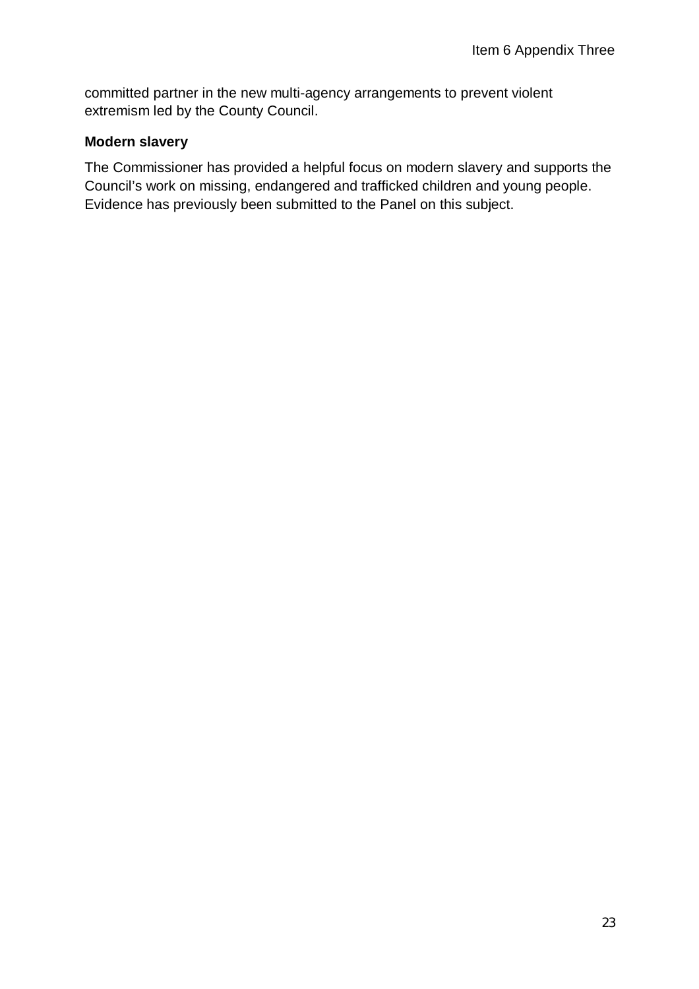committed partner in the new multi-agency arrangements to prevent violent extremism led by the County Council.

## **Modern slavery**

The Commissioner has provided a helpful focus on modern slavery and supports the Council's work on missing, endangered and trafficked children and young people. Evidence has previously been submitted to the Panel on this subject.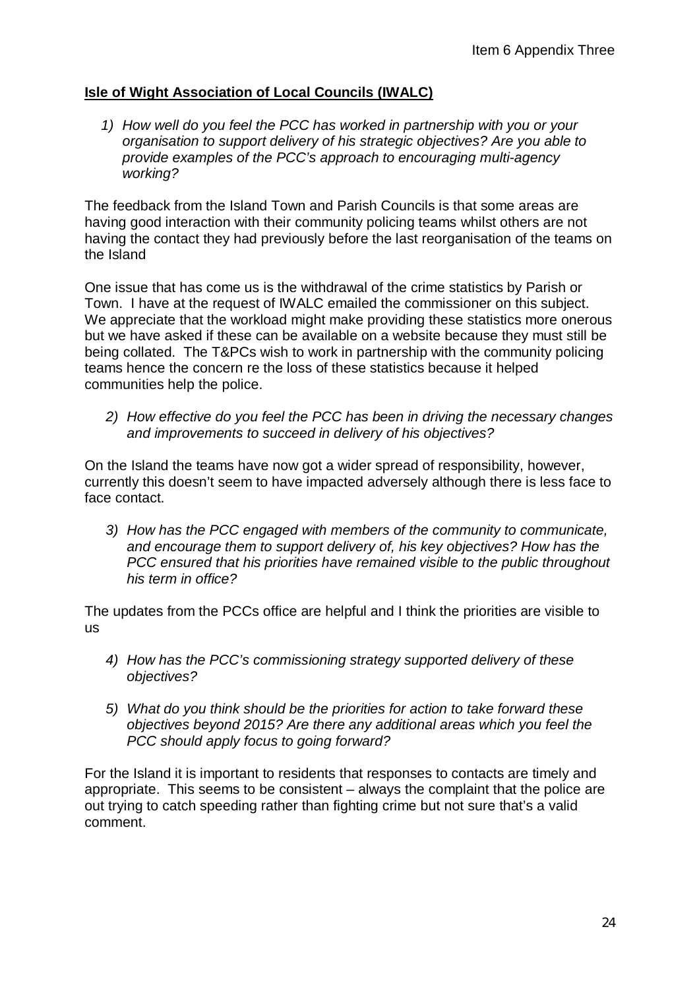## **Isle of Wight Association of Local Councils (IWALC)**

*1) How well do you feel the PCC has worked in partnership with you or your organisation to support delivery of his strategic objectives? Are you able to provide examples of the PCC's approach to encouraging multi-agency working?*

The feedback from the Island Town and Parish Councils is that some areas are having good interaction with their community policing teams whilst others are not having the contact they had previously before the last reorganisation of the teams on the Island

One issue that has come us is the withdrawal of the crime statistics by Parish or Town. I have at the request of IWALC emailed the commissioner on this subject. We appreciate that the workload might make providing these statistics more onerous but we have asked if these can be available on a website because they must still be being collated. The T&PCs wish to work in partnership with the community policing teams hence the concern re the loss of these statistics because it helped communities help the police.

*2) How effective do you feel the PCC has been in driving the necessary changes and improvements to succeed in delivery of his objectives?*

On the Island the teams have now got a wider spread of responsibility, however, currently this doesn't seem to have impacted adversely although there is less face to face contact.

*3) How has the PCC engaged with members of the community to communicate, and encourage them to support delivery of, his key objectives? How has the PCC ensured that his priorities have remained visible to the public throughout his term in office?*

The updates from the PCCs office are helpful and I think the priorities are visible to us

- *4) How has the PCC's commissioning strategy supported delivery of these objectives?*
- *5) What do you think should be the priorities for action to take forward these objectives beyond 2015? Are there any additional areas which you feel the PCC should apply focus to going forward?*

For the Island it is important to residents that responses to contacts are timely and appropriate. This seems to be consistent – always the complaint that the police are out trying to catch speeding rather than fighting crime but not sure that's a valid comment.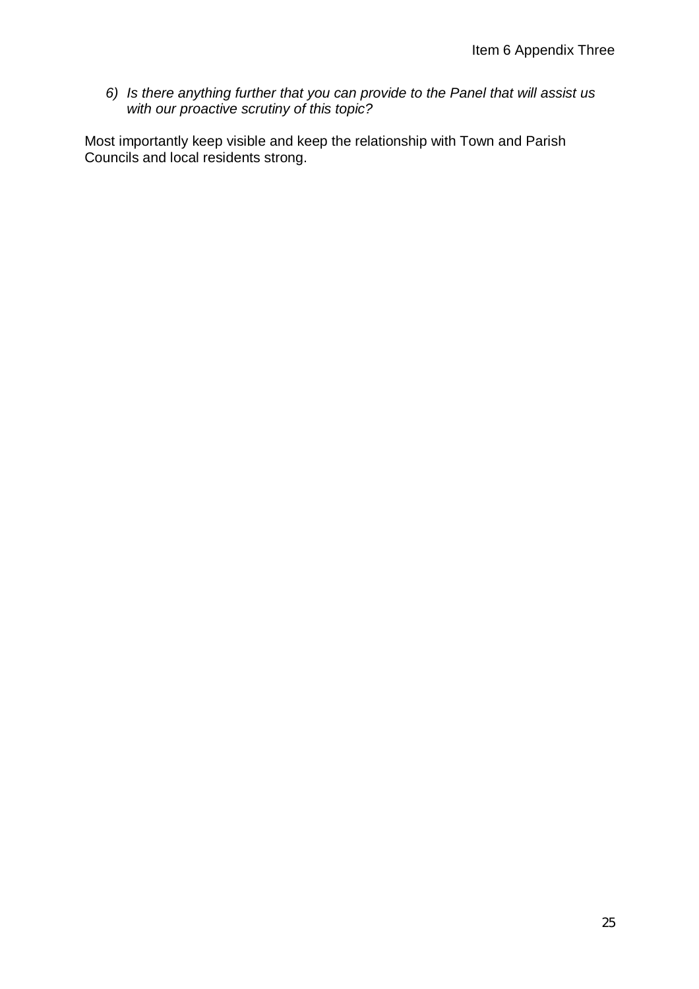*6) Is there anything further that you can provide to the Panel that will assist us with our proactive scrutiny of this topic?*

Most importantly keep visible and keep the relationship with Town and Parish Councils and local residents strong.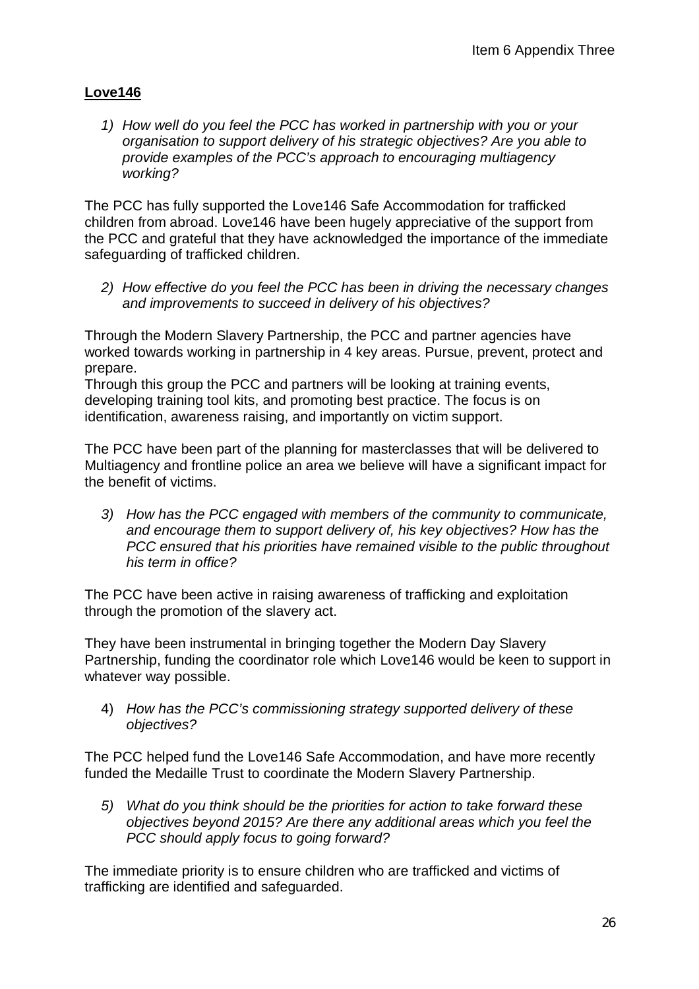## **Love146**

*1) How well do you feel the PCC has worked in partnership with you or your organisation to support delivery of his strategic objectives? Are you able to provide examples of the PCC's approach to encouraging multiagency working?*

The PCC has fully supported the Love146 Safe Accommodation for trafficked children from abroad. Love146 have been hugely appreciative of the support from the PCC and grateful that they have acknowledged the importance of the immediate safeguarding of trafficked children.

*2) How effective do you feel the PCC has been in driving the necessary changes and improvements to succeed in delivery of his objectives?*

Through the Modern Slavery Partnership, the PCC and partner agencies have worked towards working in partnership in 4 key areas. Pursue, prevent, protect and prepare.

Through this group the PCC and partners will be looking at training events, developing training tool kits, and promoting best practice. The focus is on identification, awareness raising, and importantly on victim support.

The PCC have been part of the planning for masterclasses that will be delivered to Multiagency and frontline police an area we believe will have a significant impact for the benefit of victims.

*3) How has the PCC engaged with members of the community to communicate, and encourage them to support delivery of, his key objectives? How has the PCC ensured that his priorities have remained visible to the public throughout his term in office?*

The PCC have been active in raising awareness of trafficking and exploitation through the promotion of the slavery act.

They have been instrumental in bringing together the Modern Day Slavery Partnership, funding the coordinator role which Love146 would be keen to support in whatever way possible.

4) *How has the PCC's commissioning strategy supported delivery of these objectives?*

The PCC helped fund the Love146 Safe Accommodation, and have more recently funded the Medaille Trust to coordinate the Modern Slavery Partnership.

*5) What do you think should be the priorities for action to take forward these objectives beyond 2015? Are there any additional areas which you feel the PCC should apply focus to going forward?*

The immediate priority is to ensure children who are trafficked and victims of trafficking are identified and safeguarded.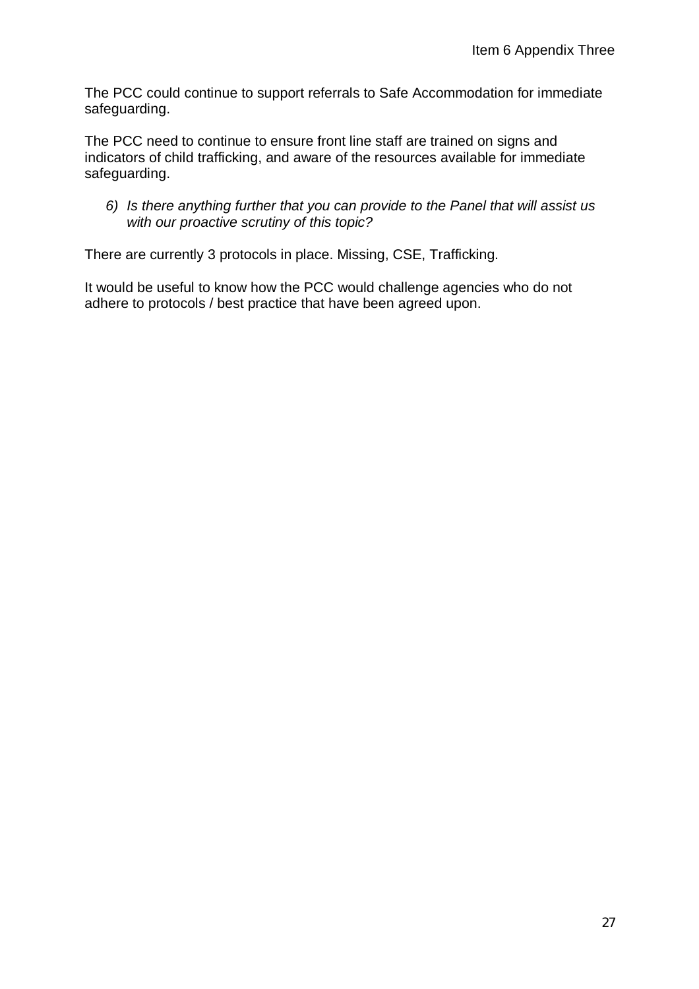The PCC could continue to support referrals to Safe Accommodation for immediate safeguarding.

The PCC need to continue to ensure front line staff are trained on signs and indicators of child trafficking, and aware of the resources available for immediate safeguarding.

*6) Is there anything further that you can provide to the Panel that will assist us with our proactive scrutiny of this topic?*

There are currently 3 protocols in place. Missing, CSE, Trafficking.

It would be useful to know how the PCC would challenge agencies who do not adhere to protocols / best practice that have been agreed upon.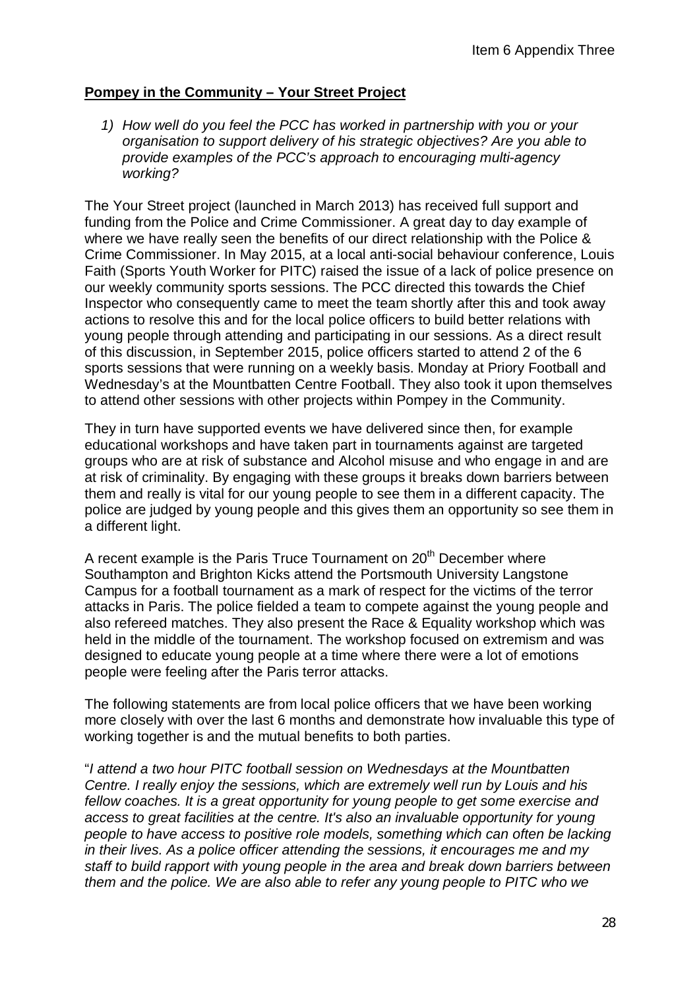#### **Pompey in the Community – Your Street Project**

*1) How well do you feel the PCC has worked in partnership with you or your organisation to support delivery of his strategic objectives? Are you able to provide examples of the PCC's approach to encouraging multi-agency working?*

The Your Street project (launched in March 2013) has received full support and funding from the Police and Crime Commissioner. A great day to day example of where we have really seen the benefits of our direct relationship with the Police & Crime Commissioner. In May 2015, at a local anti-social behaviour conference, Louis Faith (Sports Youth Worker for PITC) raised the issue of a lack of police presence on our weekly community sports sessions. The PCC directed this towards the Chief Inspector who consequently came to meet the team shortly after this and took away actions to resolve this and for the local police officers to build better relations with young people through attending and participating in our sessions. As a direct result of this discussion, in September 2015, police officers started to attend 2 of the 6 sports sessions that were running on a weekly basis. Monday at Priory Football and Wednesday's at the Mountbatten Centre Football. They also took it upon themselves to attend other sessions with other projects within Pompey in the Community.

They in turn have supported events we have delivered since then, for example educational workshops and have taken part in tournaments against are targeted groups who are at risk of substance and Alcohol misuse and who engage in and are at risk of criminality. By engaging with these groups it breaks down barriers between them and really is vital for our young people to see them in a different capacity. The police are judged by young people and this gives them an opportunity so see them in a different light.

A recent example is the Paris Truce Tournament on  $20<sup>th</sup>$  December where Southampton and Brighton Kicks attend the Portsmouth University Langstone Campus for a football tournament as a mark of respect for the victims of the terror attacks in Paris. The police fielded a team to compete against the young people and also refereed matches. They also present the Race & Equality workshop which was held in the middle of the tournament. The workshop focused on extremism and was designed to educate young people at a time where there were a lot of emotions people were feeling after the Paris terror attacks.

The following statements are from local police officers that we have been working more closely with over the last 6 months and demonstrate how invaluable this type of working together is and the mutual benefits to both parties.

"*I attend a two hour PITC football session on Wednesdays at the Mountbatten Centre. I really enjoy the sessions, which are extremely well run by Louis and his fellow coaches. It is a great opportunity for young people to get some exercise and access to great facilities at the centre. It's also an invaluable opportunity for young people to have access to positive role models, something which can often be lacking in their lives. As a police officer attending the sessions, it encourages me and my staff to build rapport with young people in the area and break down barriers between them and the police. We are also able to refer any young people to PITC who we*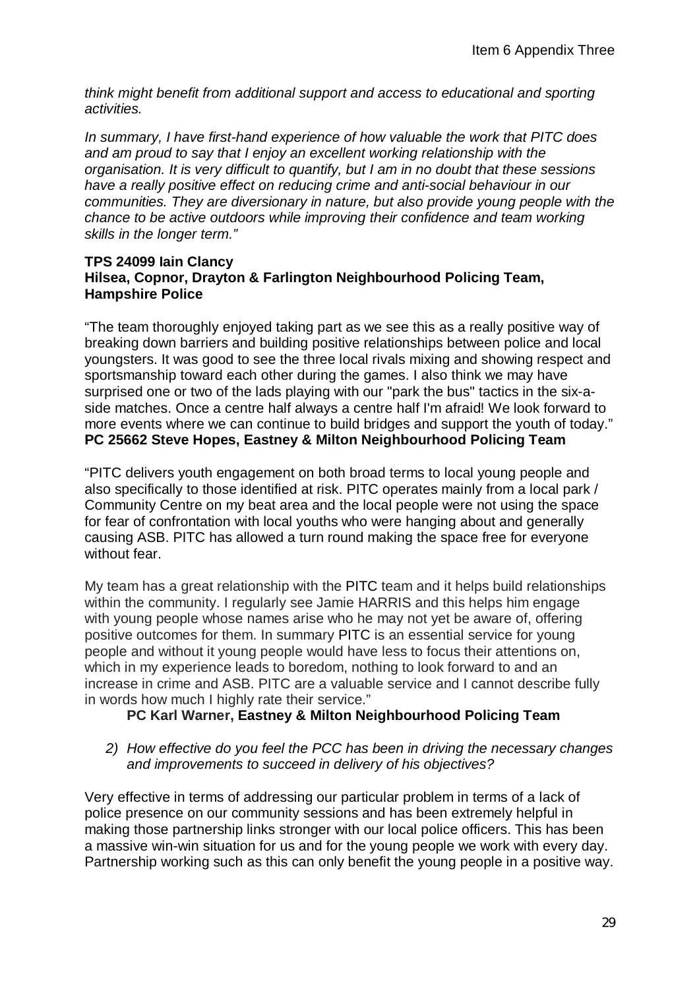*think might benefit from additional support and access to educational and sporting activities.*

*In summary, I have first-hand experience of how valuable the work that PITC does and am proud to say that I enjoy an excellent working relationship with the organisation. It is very difficult to quantify, but I am in no doubt that these sessions have a really positive effect on reducing crime and anti-social behaviour in our communities. They are diversionary in nature, but also provide young people with the chance to be active outdoors while improving their confidence and team working skills in the longer term."* 

#### **TPS 24099 Iain Clancy Hilsea, Copnor, Drayton & Farlington Neighbourhood Policing Team, Hampshire Police**

"The team thoroughly enjoyed taking part as we see this as a really positive way of breaking down barriers and building positive relationships between police and local youngsters. It was good to see the three local rivals mixing and showing respect and sportsmanship toward each other during the games. I also think we may have surprised one or two of the lads playing with our "park the bus" tactics in the six-aside matches. Once a centre half always a centre half I'm afraid! We look forward to more events where we can continue to build bridges and support the youth of today." **PC 25662 Steve Hopes, Eastney & Milton Neighbourhood Policing Team**

"PITC delivers youth engagement on both broad terms to local young people and also specifically to those identified at risk. PITC operates mainly from a local park / Community Centre on my beat area and the local people were not using the space for fear of confrontation with local youths who were hanging about and generally causing ASB. PITC has allowed a turn round making the space free for everyone without fear.

My team has a great relationship with the PITC team and it helps build relationships within the community. I regularly see Jamie HARRIS and this helps him engage with young people whose names arise who he may not yet be aware of, offering positive outcomes for them. In summary PITC is an essential service for young people and without it young people would have less to focus their attentions on, which in my experience leads to boredom, nothing to look forward to and an increase in crime and ASB. PITC are a valuable service and I cannot describe fully in words how much I highly rate their service."

## **PC Karl Warner, Eastney & Milton Neighbourhood Policing Team**

*2) How effective do you feel the PCC has been in driving the necessary changes and improvements to succeed in delivery of his objectives?*

Very effective in terms of addressing our particular problem in terms of a lack of police presence on our community sessions and has been extremely helpful in making those partnership links stronger with our local police officers. This has been a massive win-win situation for us and for the young people we work with every day. Partnership working such as this can only benefit the young people in a positive way.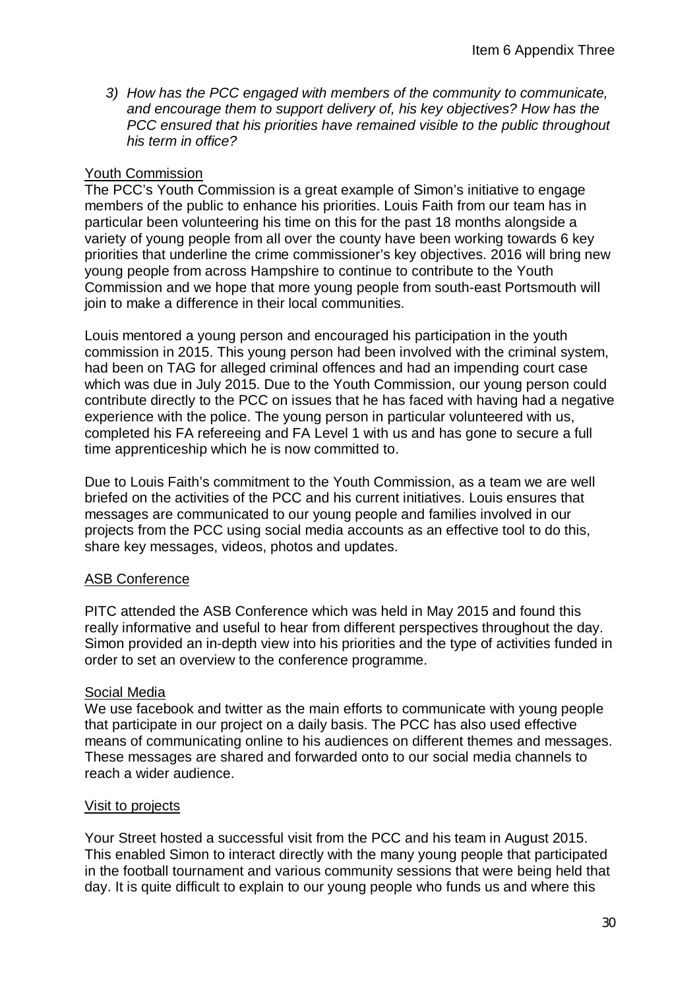*3) How has the PCC engaged with members of the community to communicate, and encourage them to support delivery of, his key objectives? How has the PCC ensured that his priorities have remained visible to the public throughout his term in office?*

#### Youth Commission

The PCC's Youth Commission is a great example of Simon's initiative to engage members of the public to enhance his priorities. Louis Faith from our team has in particular been volunteering his time on this for the past 18 months alongside a variety of young people from all over the county have been working towards 6 key priorities that underline the crime commissioner's key objectives. 2016 will bring new young people from across Hampshire to continue to contribute to the Youth Commission and we hope that more young people from south-east Portsmouth will join to make a difference in their local communities.

Louis mentored a young person and encouraged his participation in the youth commission in 2015. This young person had been involved with the criminal system, had been on TAG for alleged criminal offences and had an impending court case which was due in July 2015. Due to the Youth Commission, our young person could contribute directly to the PCC on issues that he has faced with having had a negative experience with the police. The young person in particular volunteered with us, completed his FA refereeing and FA Level 1 with us and has gone to secure a full time apprenticeship which he is now committed to.

Due to Louis Faith's commitment to the Youth Commission, as a team we are well briefed on the activities of the PCC and his current initiatives. Louis ensures that messages are communicated to our young people and families involved in our projects from the PCC using social media accounts as an effective tool to do this, share key messages, videos, photos and updates.

#### ASB Conference

PITC attended the ASB Conference which was held in May 2015 and found this really informative and useful to hear from different perspectives throughout the day. Simon provided an in-depth view into his priorities and the type of activities funded in order to set an overview to the conference programme.

#### Social Media

We use facebook and twitter as the main efforts to communicate with young people that participate in our project on a daily basis. The PCC has also used effective means of communicating online to his audiences on different themes and messages. These messages are shared and forwarded onto to our social media channels to reach a wider audience.

#### Visit to projects

Your Street hosted a successful visit from the PCC and his team in August 2015. This enabled Simon to interact directly with the many young people that participated in the football tournament and various community sessions that were being held that day. It is quite difficult to explain to our young people who funds us and where this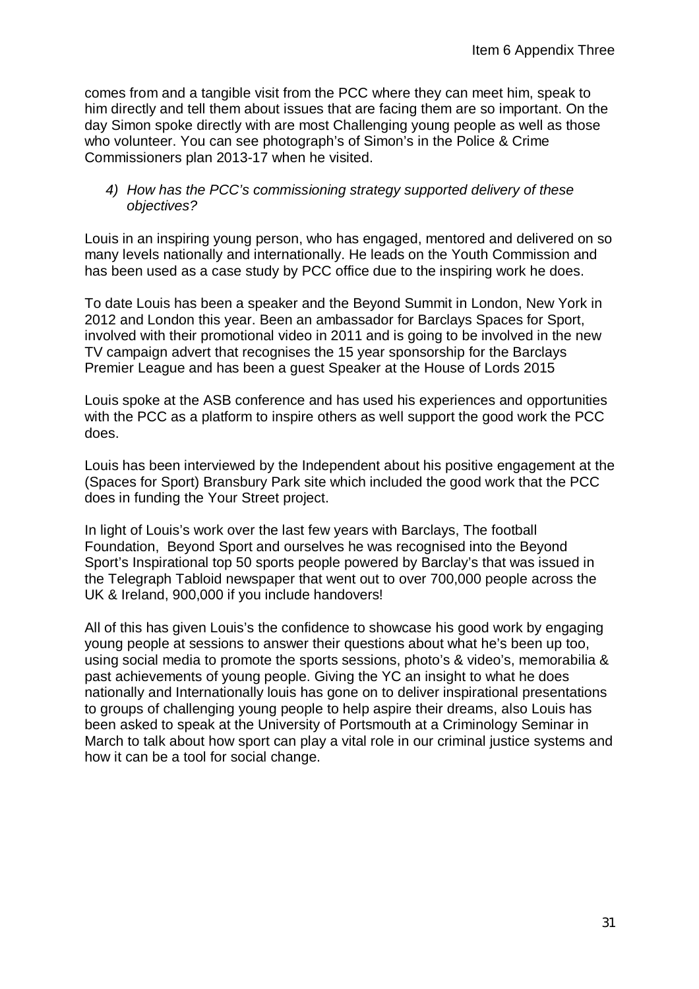comes from and a tangible visit from the PCC where they can meet him, speak to him directly and tell them about issues that are facing them are so important. On the day Simon spoke directly with are most Challenging young people as well as those who volunteer. You can see photograph's of Simon's in the Police & Crime Commissioners plan 2013-17 when he visited.

#### *4) How has the PCC's commissioning strategy supported delivery of these objectives?*

Louis in an inspiring young person, who has engaged, mentored and delivered on so many levels nationally and internationally. He leads on the Youth Commission and has been used as a case study by PCC office due to the inspiring work he does.

To date Louis has been a speaker and the Beyond Summit in London, New York in 2012 and London this year. Been an ambassador for Barclays Spaces for Sport, involved with their promotional video in 2011 and is going to be involved in the new TV campaign advert that recognises the 15 year sponsorship for the Barclays Premier League and has been a guest Speaker at the House of Lords 2015

Louis spoke at the ASB conference and has used his experiences and opportunities with the PCC as a platform to inspire others as well support the good work the PCC does.

Louis has been interviewed by the Independent about his positive engagement at the (Spaces for Sport) Bransbury Park site which included the good work that the PCC does in funding the Your Street project.

In light of Louis's work over the last few years with Barclays, The football Foundation, Beyond Sport and ourselves he was recognised into the Beyond Sport's Inspirational top 50 sports people powered by Barclay's that was issued in the Telegraph Tabloid newspaper that went out to over 700,000 people across the UK & Ireland, 900,000 if you include handovers!

All of this has given Louis's the confidence to showcase his good work by engaging young people at sessions to answer their questions about what he's been up too, using social media to promote the sports sessions, photo's & video's, memorabilia & past achievements of young people. Giving the YC an insight to what he does nationally and Internationally louis has gone on to deliver inspirational presentations to groups of challenging young people to help aspire their dreams, also Louis has been asked to speak at the University of Portsmouth at a Criminology Seminar in March to talk about how sport can play a vital role in our criminal justice systems and how it can be a tool for social change.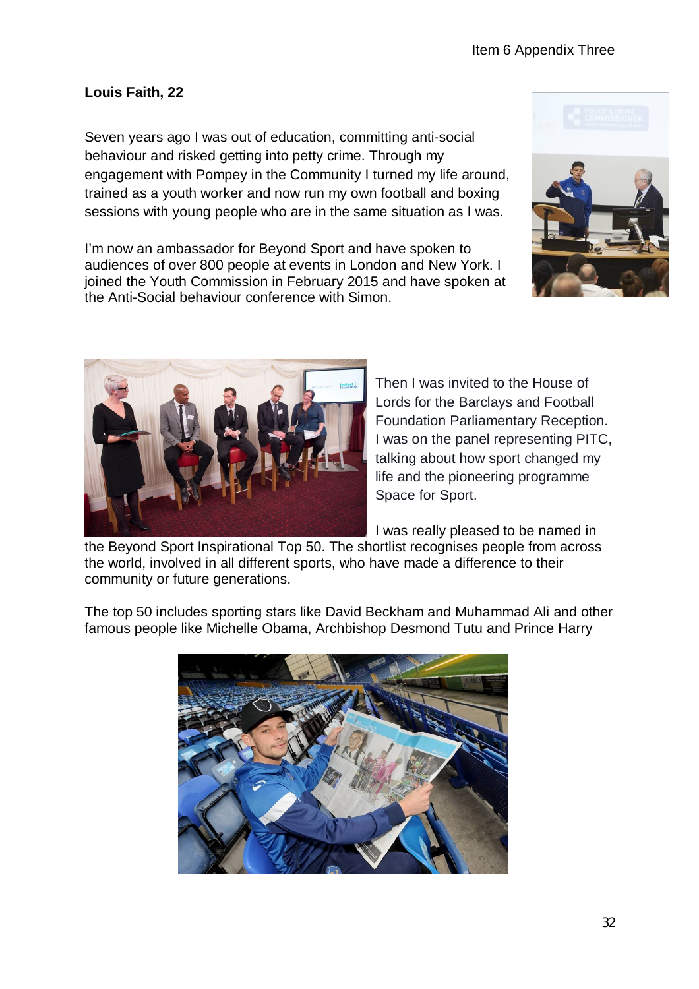# **Louis Faith, 22**

Seven years ago I was out of education, committing anti-social behaviour and risked getting into petty crime. Through my engagement with Pompey in the Community I turned my life around, trained as a youth worker and now run my own football and boxing sessions with young people who are in the same situation as I was.

I'm now an ambassador for Beyond Sport and have spoken to audiences of over 800 people at events in London and New York. I joined the Youth Commission in February 2015 and have spoken at the Anti-Social behaviour conference with Simon.





Then I was invited to the House of Lords for the Barclays and Football Foundation Parliamentary Reception. I was on the panel representing PITC, talking about how sport changed my life and the pioneering programme Space for Sport.

I was really pleased to be named in

the Beyond Sport Inspirational Top 50. The shortlist recognises people from across the world, involved in all different sports, who have made a difference to their community or future generations.

The top 50 includes sporting stars like David Beckham and Muhammad Ali and other famous people like Michelle Obama, Archbishop Desmond Tutu and Prince Harry

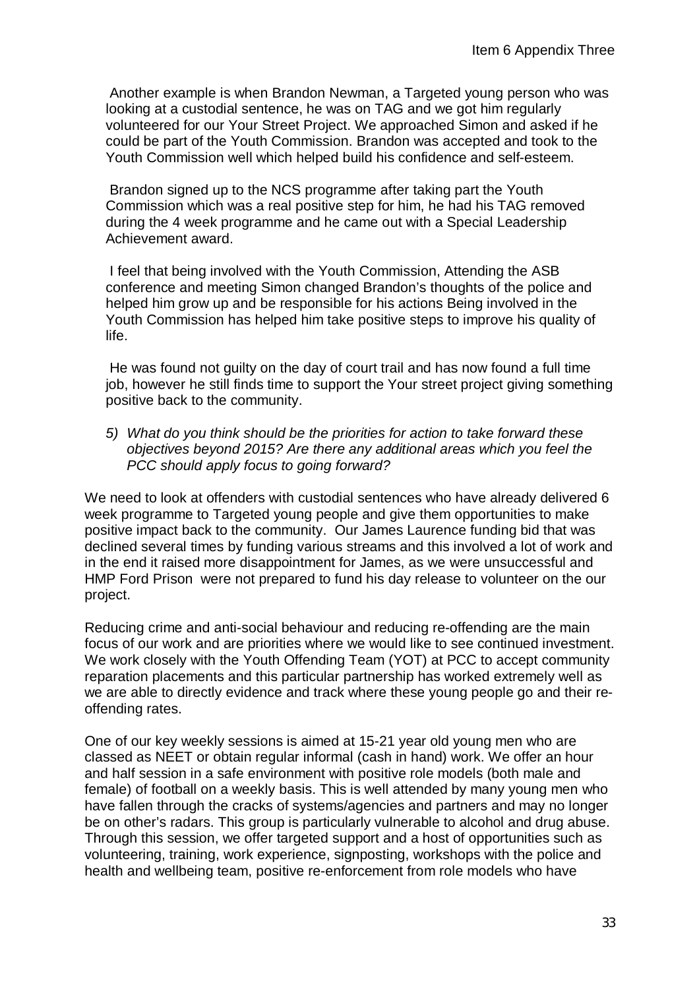Another example is when Brandon Newman, a Targeted young person who was looking at a custodial sentence, he was on TAG and we got him regularly volunteered for our Your Street Project. We approached Simon and asked if he could be part of the Youth Commission. Brandon was accepted and took to the Youth Commission well which helped build his confidence and self-esteem.

Brandon signed up to the NCS programme after taking part the Youth Commission which was a real positive step for him, he had his TAG removed during the 4 week programme and he came out with a Special Leadership Achievement award.

I feel that being involved with the Youth Commission, Attending the ASB conference and meeting Simon changed Brandon's thoughts of the police and helped him grow up and be responsible for his actions Being involved in the Youth Commission has helped him take positive steps to improve his quality of life.

He was found not guilty on the day of court trail and has now found a full time job, however he still finds time to support the Your street project giving something positive back to the community.

*5) What do you think should be the priorities for action to take forward these objectives beyond 2015? Are there any additional areas which you feel the PCC should apply focus to going forward?*

We need to look at offenders with custodial sentences who have already delivered 6 week programme to Targeted young people and give them opportunities to make positive impact back to the community. Our James Laurence funding bid that was declined several times by funding various streams and this involved a lot of work and in the end it raised more disappointment for James, as we were unsuccessful and HMP Ford Prison were not prepared to fund his day release to volunteer on the our project.

Reducing crime and anti-social behaviour and reducing re-offending are the main focus of our work and are priorities where we would like to see continued investment. We work closely with the Youth Offending Team (YOT) at PCC to accept community reparation placements and this particular partnership has worked extremely well as we are able to directly evidence and track where these young people go and their reoffending rates.

One of our key weekly sessions is aimed at 15-21 year old young men who are classed as NEET or obtain regular informal (cash in hand) work. We offer an hour and half session in a safe environment with positive role models (both male and female) of football on a weekly basis. This is well attended by many young men who have fallen through the cracks of systems/agencies and partners and may no longer be on other's radars. This group is particularly vulnerable to alcohol and drug abuse. Through this session, we offer targeted support and a host of opportunities such as volunteering, training, work experience, signposting, workshops with the police and health and wellbeing team, positive re-enforcement from role models who have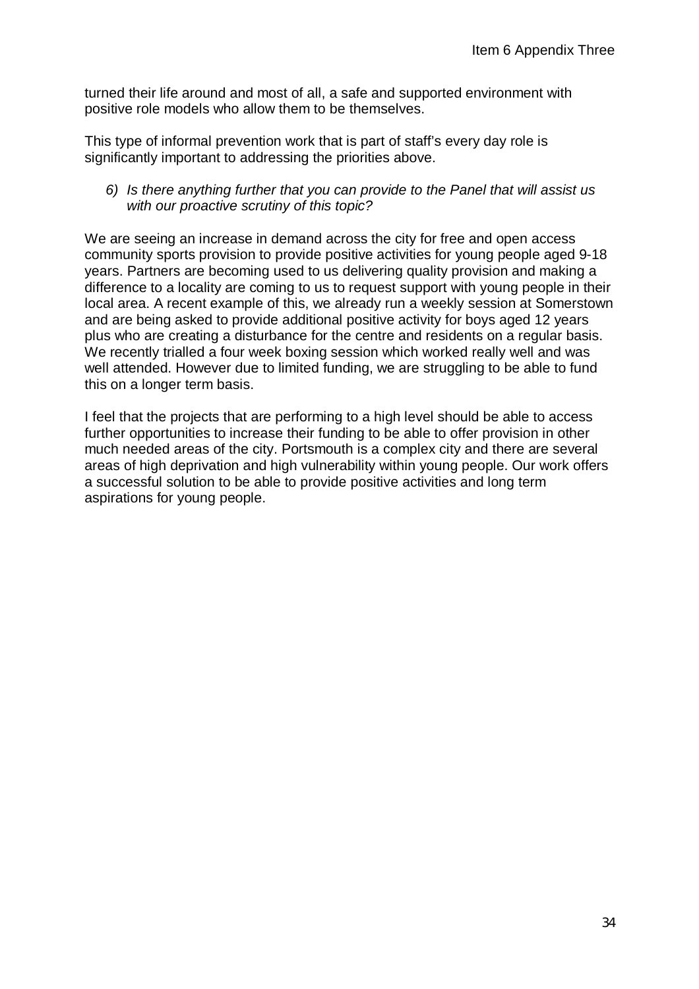turned their life around and most of all, a safe and supported environment with positive role models who allow them to be themselves.

This type of informal prevention work that is part of staff's every day role is significantly important to addressing the priorities above.

#### *6) Is there anything further that you can provide to the Panel that will assist us with our proactive scrutiny of this topic?*

We are seeing an increase in demand across the city for free and open access community sports provision to provide positive activities for young people aged 9-18 years. Partners are becoming used to us delivering quality provision and making a difference to a locality are coming to us to request support with young people in their local area. A recent example of this, we already run a weekly session at Somerstown and are being asked to provide additional positive activity for boys aged 12 years plus who are creating a disturbance for the centre and residents on a regular basis. We recently trialled a four week boxing session which worked really well and was well attended. However due to limited funding, we are struggling to be able to fund this on a longer term basis.

I feel that the projects that are performing to a high level should be able to access further opportunities to increase their funding to be able to offer provision in other much needed areas of the city. Portsmouth is a complex city and there are several areas of high deprivation and high vulnerability within young people. Our work offers a successful solution to be able to provide positive activities and long term aspirations for young people.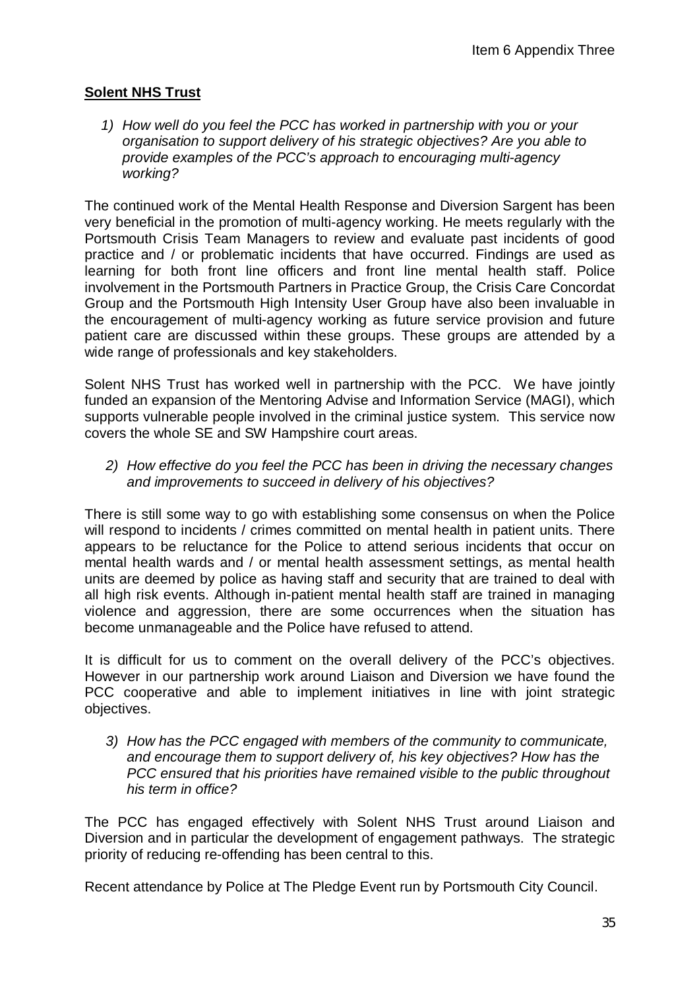## **Solent NHS Trust**

*1) How well do you feel the PCC has worked in partnership with you or your organisation to support delivery of his strategic objectives? Are you able to provide examples of the PCC's approach to encouraging multi-agency working?* 

The continued work of the Mental Health Response and Diversion Sargent has been very beneficial in the promotion of multi-agency working. He meets regularly with the Portsmouth Crisis Team Managers to review and evaluate past incidents of good practice and / or problematic incidents that have occurred. Findings are used as learning for both front line officers and front line mental health staff. Police involvement in the Portsmouth Partners in Practice Group, the Crisis Care Concordat Group and the Portsmouth High Intensity User Group have also been invaluable in the encouragement of multi-agency working as future service provision and future patient care are discussed within these groups. These groups are attended by a wide range of professionals and key stakeholders.

Solent NHS Trust has worked well in partnership with the PCC. We have jointly funded an expansion of the Mentoring Advise and Information Service (MAGI), which supports vulnerable people involved in the criminal justice system. This service now covers the whole SE and SW Hampshire court areas.

*2) How effective do you feel the PCC has been in driving the necessary changes and improvements to succeed in delivery of his objectives?* 

There is still some way to go with establishing some consensus on when the Police will respond to incidents / crimes committed on mental health in patient units. There appears to be reluctance for the Police to attend serious incidents that occur on mental health wards and / or mental health assessment settings, as mental health units are deemed by police as having staff and security that are trained to deal with all high risk events. Although in-patient mental health staff are trained in managing violence and aggression, there are some occurrences when the situation has become unmanageable and the Police have refused to attend.

It is difficult for us to comment on the overall delivery of the PCC's objectives. However in our partnership work around Liaison and Diversion we have found the PCC cooperative and able to implement initiatives in line with joint strategic objectives.

*3) How has the PCC engaged with members of the community to communicate, and encourage them to support delivery of, his key objectives? How has the PCC ensured that his priorities have remained visible to the public throughout his term in office?* 

The PCC has engaged effectively with Solent NHS Trust around Liaison and Diversion and in particular the development of engagement pathways. The strategic priority of reducing re-offending has been central to this.

Recent attendance by Police at The Pledge Event run by Portsmouth City Council.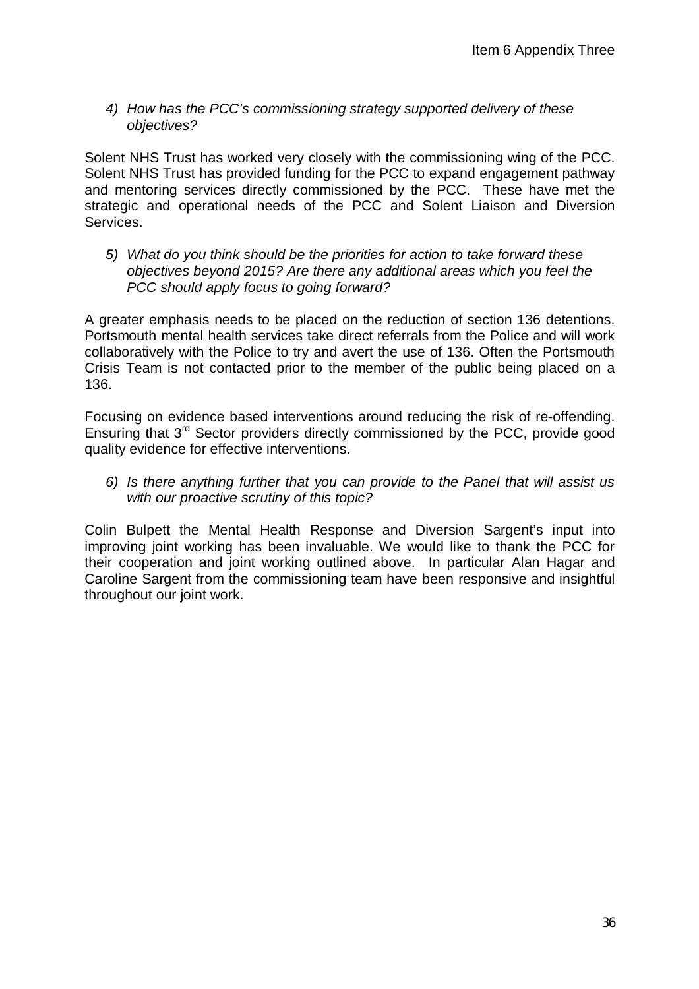#### *4) How has the PCC's commissioning strategy supported delivery of these objectives?*

Solent NHS Trust has worked very closely with the commissioning wing of the PCC. Solent NHS Trust has provided funding for the PCC to expand engagement pathway and mentoring services directly commissioned by the PCC. These have met the strategic and operational needs of the PCC and Solent Liaison and Diversion Services.

*5) What do you think should be the priorities for action to take forward these objectives beyond 2015? Are there any additional areas which you feel the PCC should apply focus to going forward?*

A greater emphasis needs to be placed on the reduction of section 136 detentions. Portsmouth mental health services take direct referrals from the Police and will work collaboratively with the Police to try and avert the use of 136. Often the Portsmouth Crisis Team is not contacted prior to the member of the public being placed on a 136.

Focusing on evidence based interventions around reducing the risk of re-offending. Ensuring that 3rd Sector providers directly commissioned by the PCC, provide good quality evidence for effective interventions.

*6) Is there anything further that you can provide to the Panel that will assist us with our proactive scrutiny of this topic?*

Colin Bulpett the Mental Health Response and Diversion Sargent's input into improving joint working has been invaluable. We would like to thank the PCC for their cooperation and joint working outlined above. In particular Alan Hagar and Caroline Sargent from the commissioning team have been responsive and insightful throughout our joint work.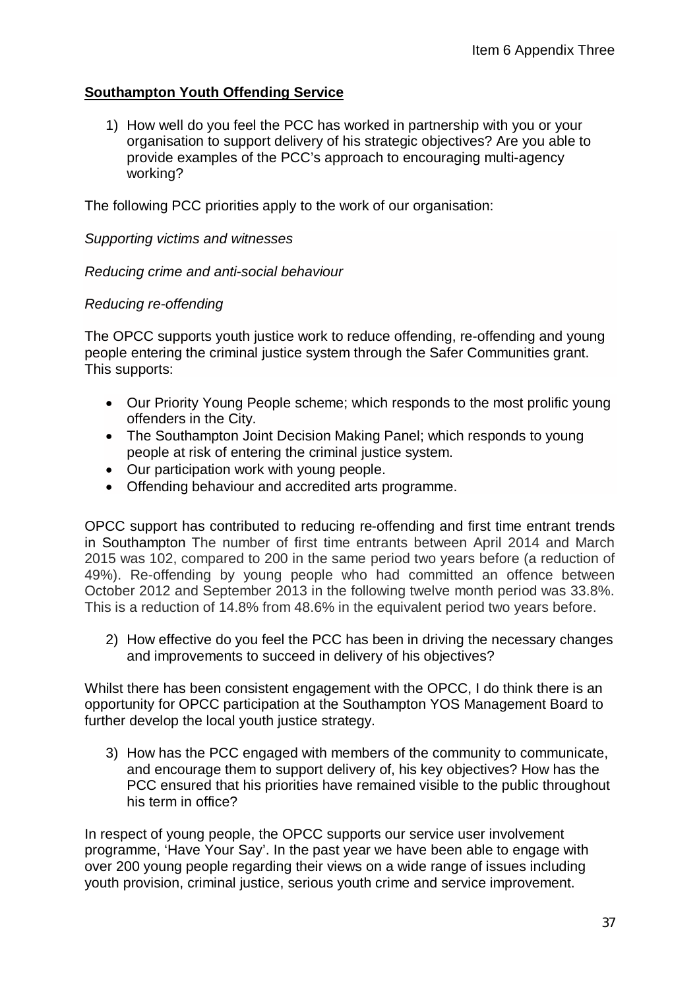## **Southampton Youth Offending Service**

1) How well do you feel the PCC has worked in partnership with you or your organisation to support delivery of his strategic objectives? Are you able to provide examples of the PCC's approach to encouraging multi-agency working?

The following PCC priorities apply to the work of our organisation:

*Supporting victims and witnesses*

*Reducing crime and anti-social behaviour*

#### *Reducing re-offending*

The OPCC supports youth justice work to reduce offending, re-offending and young people entering the criminal justice system through the Safer Communities grant. This supports:

- Our Priority Young People scheme; which responds to the most prolific young offenders in the City.
- The Southampton Joint Decision Making Panel; which responds to young people at risk of entering the criminal justice system.
- Our participation work with young people.
- Offending behaviour and accredited arts programme.

OPCC support has contributed to reducing re-offending and first time entrant trends in Southampton The number of first time entrants between April 2014 and March 2015 was 102, compared to 200 in the same period two years before (a reduction of 49%). Re-offending by young people who had committed an offence between October 2012 and September 2013 in the following twelve month period was 33.8%. This is a reduction of 14.8% from 48.6% in the equivalent period two years before.

2) How effective do you feel the PCC has been in driving the necessary changes and improvements to succeed in delivery of his objectives?

Whilst there has been consistent engagement with the OPCC, I do think there is an opportunity for OPCC participation at the Southampton YOS Management Board to further develop the local youth justice strategy.

3) How has the PCC engaged with members of the community to communicate, and encourage them to support delivery of, his key objectives? How has the PCC ensured that his priorities have remained visible to the public throughout his term in office?

In respect of young people, the OPCC supports our service user involvement programme, 'Have Your Say'. In the past year we have been able to engage with over 200 young people regarding their views on a wide range of issues including youth provision, criminal justice, serious youth crime and service improvement.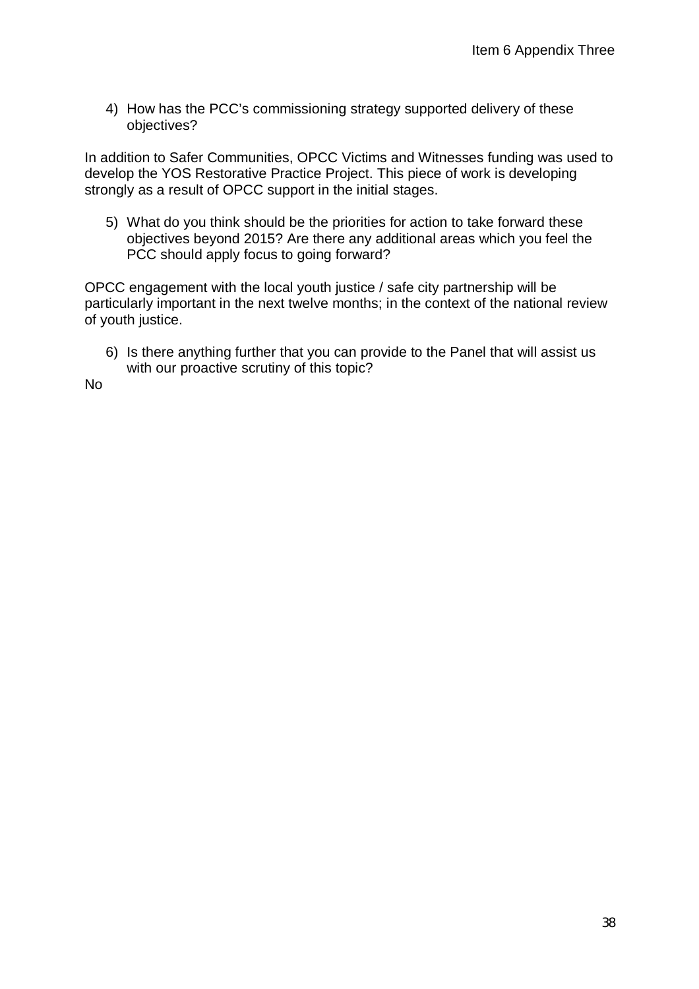4) How has the PCC's commissioning strategy supported delivery of these objectives?

In addition to Safer Communities, OPCC Victims and Witnesses funding was used to develop the YOS Restorative Practice Project. This piece of work is developing strongly as a result of OPCC support in the initial stages.

5) What do you think should be the priorities for action to take forward these objectives beyond 2015? Are there any additional areas which you feel the PCC should apply focus to going forward?

OPCC engagement with the local youth justice / safe city partnership will be particularly important in the next twelve months; in the context of the national review of youth justice.

6) Is there anything further that you can provide to the Panel that will assist us with our proactive scrutiny of this topic?

No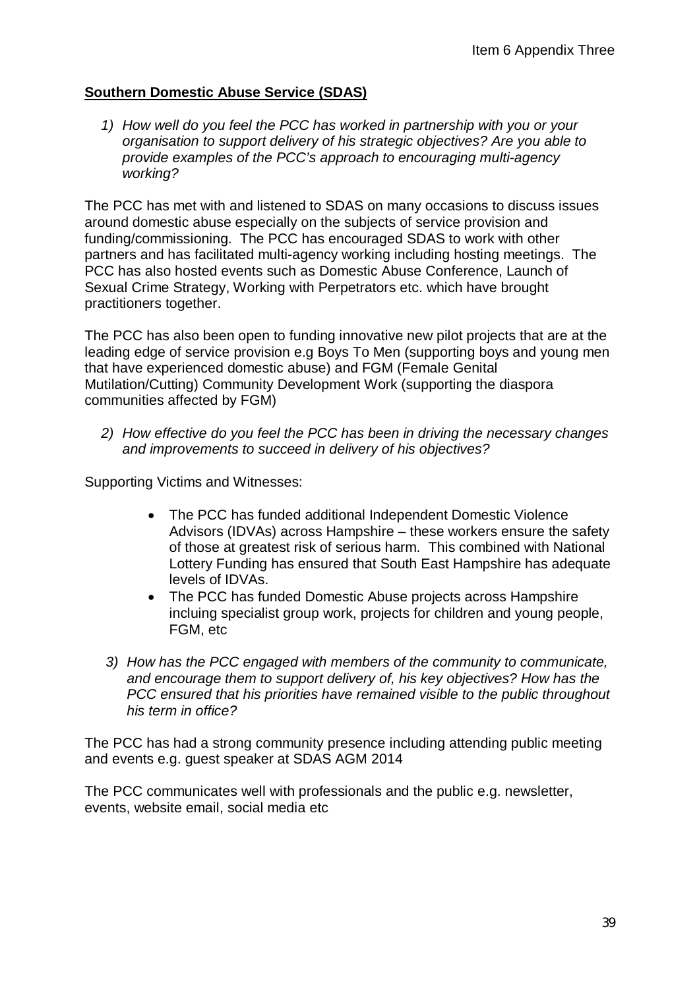## **Southern Domestic Abuse Service (SDAS)**

*1) How well do you feel the PCC has worked in partnership with you or your organisation to support delivery of his strategic objectives? Are you able to provide examples of the PCC's approach to encouraging multi-agency working?*

The PCC has met with and listened to SDAS on many occasions to discuss issues around domestic abuse especially on the subjects of service provision and funding/commissioning. The PCC has encouraged SDAS to work with other partners and has facilitated multi-agency working including hosting meetings. The PCC has also hosted events such as Domestic Abuse Conference, Launch of Sexual Crime Strategy, Working with Perpetrators etc. which have brought practitioners together.

The PCC has also been open to funding innovative new pilot projects that are at the leading edge of service provision e.g Boys To Men (supporting boys and young men that have experienced domestic abuse) and FGM (Female Genital Mutilation/Cutting) Community Development Work (supporting the diaspora communities affected by FGM)

*2) How effective do you feel the PCC has been in driving the necessary changes and improvements to succeed in delivery of his objectives?*

Supporting Victims and Witnesses:

- The PCC has funded additional Independent Domestic Violence Advisors (IDVAs) across Hampshire – these workers ensure the safety of those at greatest risk of serious harm. This combined with National Lottery Funding has ensured that South East Hampshire has adequate levels of IDVAs.
- The PCC has funded Domestic Abuse projects across Hampshire incluing specialist group work, projects for children and young people, FGM, etc
- *3) How has the PCC engaged with members of the community to communicate, and encourage them to support delivery of, his key objectives? How has the PCC ensured that his priorities have remained visible to the public throughout his term in office?*

The PCC has had a strong community presence including attending public meeting and events e.g. guest speaker at SDAS AGM 2014

The PCC communicates well with professionals and the public e.g. newsletter, events, website email, social media etc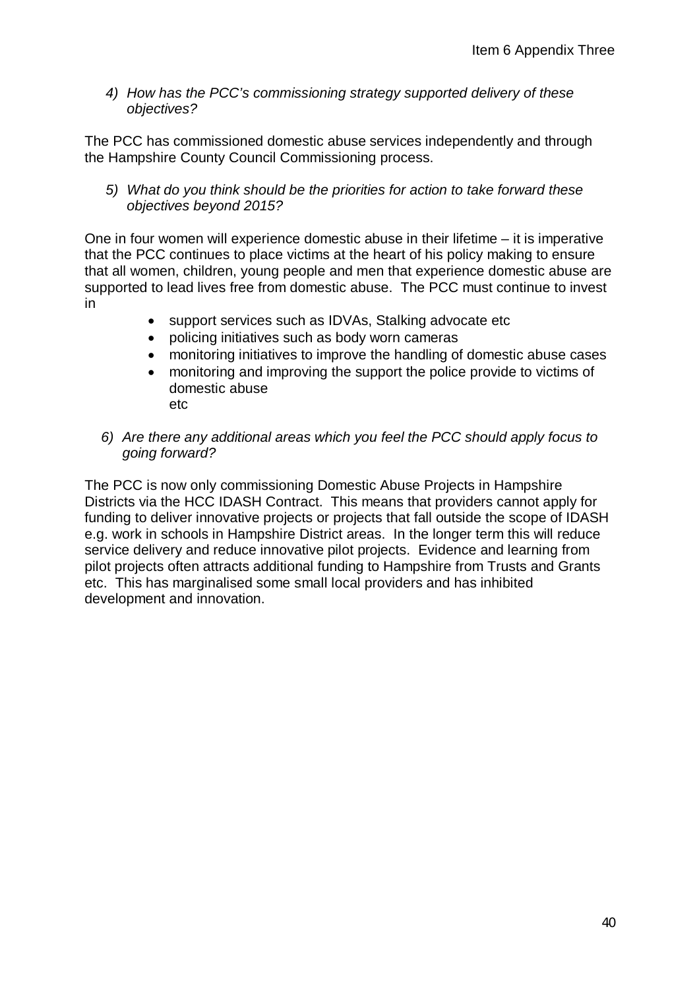*4) How has the PCC's commissioning strategy supported delivery of these objectives?*

The PCC has commissioned domestic abuse services independently and through the Hampshire County Council Commissioning process.

*5) What do you think should be the priorities for action to take forward these objectives beyond 2015?* 

One in four women will experience domestic abuse in their lifetime – it is imperative that the PCC continues to place victims at the heart of his policy making to ensure that all women, children, young people and men that experience domestic abuse are supported to lead lives free from domestic abuse. The PCC must continue to invest in

- support services such as IDVAs, Stalking advocate etc
- policing initiatives such as body worn cameras
- monitoring initiatives to improve the handling of domestic abuse cases
- monitoring and improving the support the police provide to victims of domestic abuse etc
- *6) Are there any additional areas which you feel the PCC should apply focus to going forward?*

The PCC is now only commissioning Domestic Abuse Projects in Hampshire Districts via the HCC IDASH Contract. This means that providers cannot apply for funding to deliver innovative projects or projects that fall outside the scope of IDASH e.g. work in schools in Hampshire District areas. In the longer term this will reduce service delivery and reduce innovative pilot projects. Evidence and learning from pilot projects often attracts additional funding to Hampshire from Trusts and Grants etc. This has marginalised some small local providers and has inhibited development and innovation.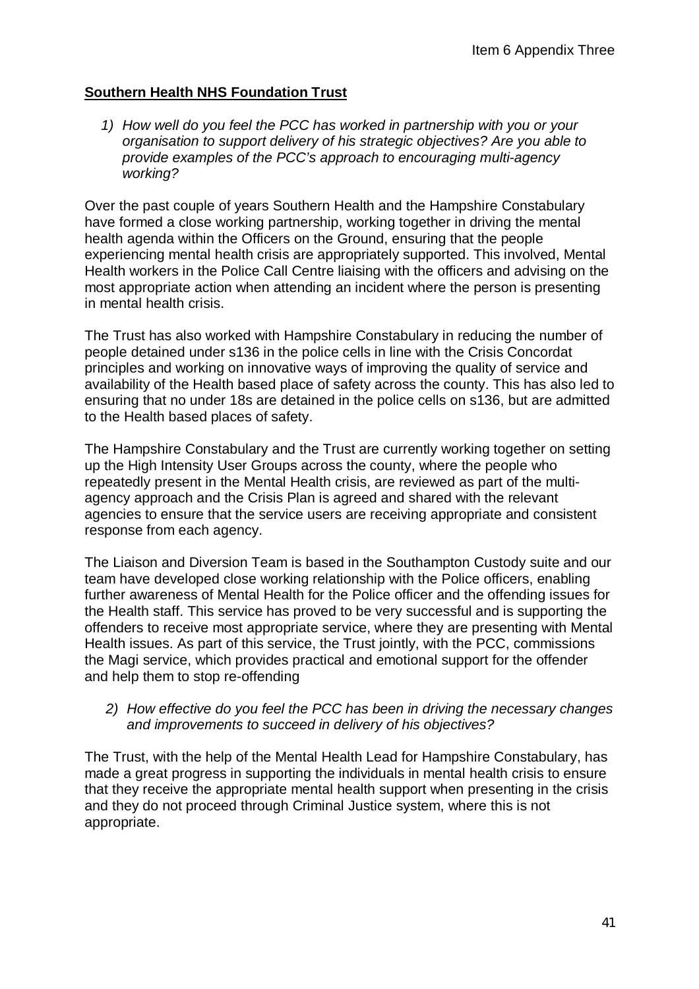## **Southern Health NHS Foundation Trust**

*1) How well do you feel the PCC has worked in partnership with you or your organisation to support delivery of his strategic objectives? Are you able to provide examples of the PCC's approach to encouraging multi-agency working?*

Over the past couple of years Southern Health and the Hampshire Constabulary have formed a close working partnership, working together in driving the mental health agenda within the Officers on the Ground, ensuring that the people experiencing mental health crisis are appropriately supported. This involved, Mental Health workers in the Police Call Centre liaising with the officers and advising on the most appropriate action when attending an incident where the person is presenting in mental health crisis.

The Trust has also worked with Hampshire Constabulary in reducing the number of people detained under s136 in the police cells in line with the Crisis Concordat principles and working on innovative ways of improving the quality of service and availability of the Health based place of safety across the county. This has also led to ensuring that no under 18s are detained in the police cells on s136, but are admitted to the Health based places of safety.

The Hampshire Constabulary and the Trust are currently working together on setting up the High Intensity User Groups across the county, where the people who repeatedly present in the Mental Health crisis, are reviewed as part of the multiagency approach and the Crisis Plan is agreed and shared with the relevant agencies to ensure that the service users are receiving appropriate and consistent response from each agency.

The Liaison and Diversion Team is based in the Southampton Custody suite and our team have developed close working relationship with the Police officers, enabling further awareness of Mental Health for the Police officer and the offending issues for the Health staff. This service has proved to be very successful and is supporting the offenders to receive most appropriate service, where they are presenting with Mental Health issues. As part of this service, the Trust jointly, with the PCC, commissions the Magi service, which provides practical and emotional support for the offender and help them to stop re-offending

#### *2) How effective do you feel the PCC has been in driving the necessary changes and improvements to succeed in delivery of his objectives?*

The Trust, with the help of the Mental Health Lead for Hampshire Constabulary, has made a great progress in supporting the individuals in mental health crisis to ensure that they receive the appropriate mental health support when presenting in the crisis and they do not proceed through Criminal Justice system, where this is not appropriate.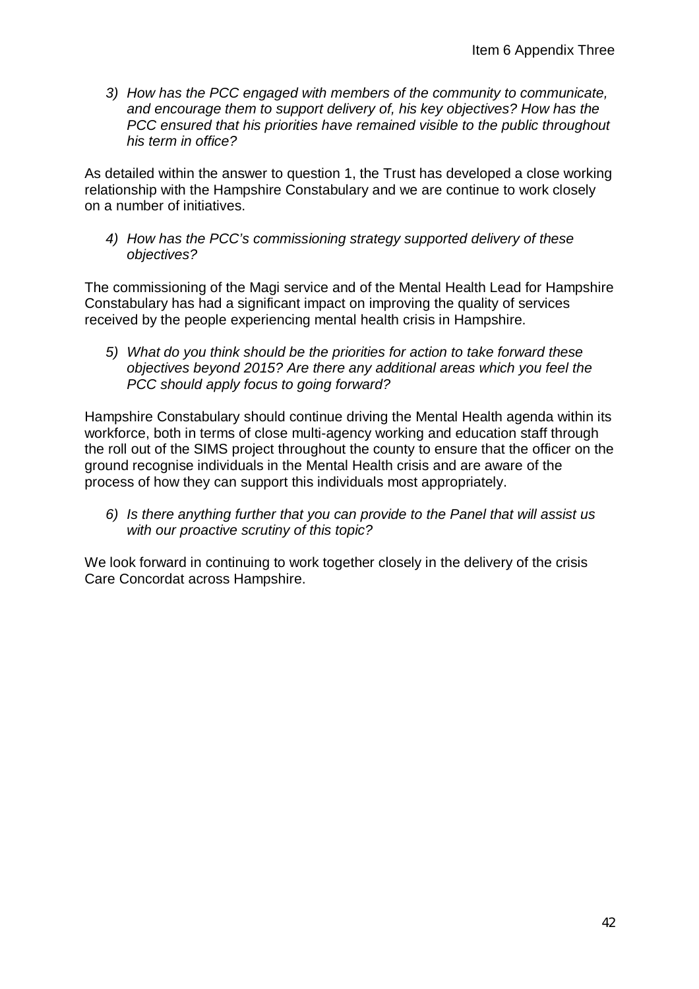*3) How has the PCC engaged with members of the community to communicate, and encourage them to support delivery of, his key objectives? How has the PCC ensured that his priorities have remained visible to the public throughout his term in office?*

As detailed within the answer to question 1, the Trust has developed a close working relationship with the Hampshire Constabulary and we are continue to work closely on a number of initiatives.

*4) How has the PCC's commissioning strategy supported delivery of these objectives?*

The commissioning of the Magi service and of the Mental Health Lead for Hampshire Constabulary has had a significant impact on improving the quality of services received by the people experiencing mental health crisis in Hampshire.

*5) What do you think should be the priorities for action to take forward these objectives beyond 2015? Are there any additional areas which you feel the PCC should apply focus to going forward?*

Hampshire Constabulary should continue driving the Mental Health agenda within its workforce, both in terms of close multi-agency working and education staff through the roll out of the SIMS project throughout the county to ensure that the officer on the ground recognise individuals in the Mental Health crisis and are aware of the process of how they can support this individuals most appropriately.

*6) Is there anything further that you can provide to the Panel that will assist us with our proactive scrutiny of this topic?*

We look forward in continuing to work together closely in the delivery of the crisis Care Concordat across Hampshire.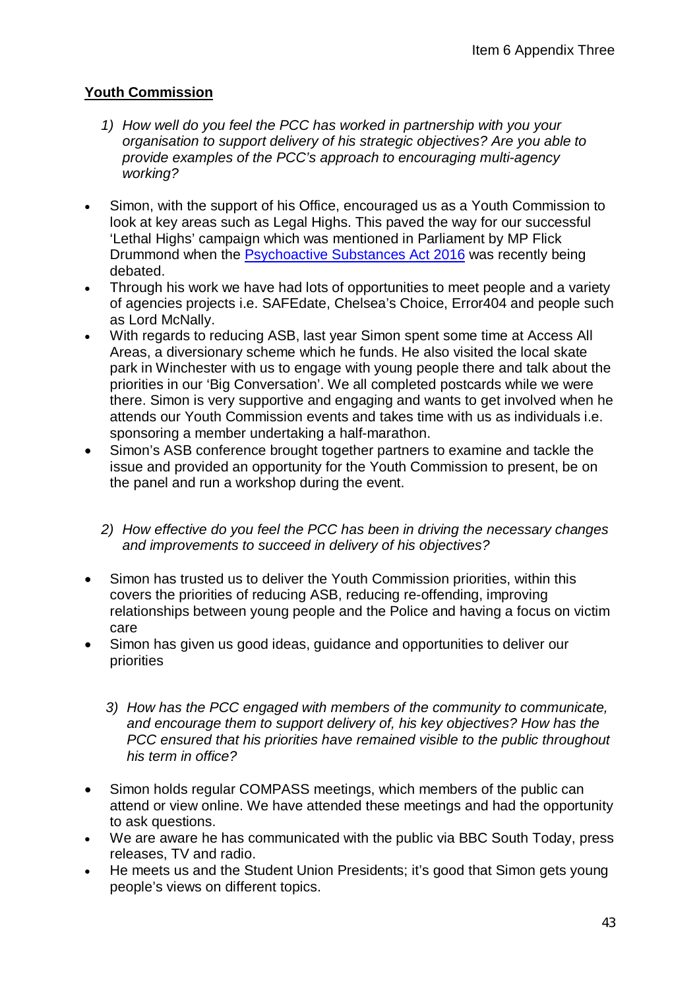## **Youth Commission**

- *1) How well do you feel the PCC has worked in partnership with you your organisation to support delivery of his strategic objectives? Are you able to provide examples of the PCC's approach to encouraging multi-agency working?*
- Simon, with the support of his Office, encouraged us as a Youth Commission to look at key areas such as Legal Highs. This paved the way for our successful 'Lethal Highs' campaign which was mentioned in Parliament by MP Flick Drummond when the Psychoactive Substances Act 2016 was recently being debated.
- Through his work we have had lots of opportunities to meet people and a variety of agencies projects i.e. SAFEdate, Chelsea's Choice, Error404 and people such as Lord McNally.
- With regards to reducing ASB, last year Simon spent some time at Access All Areas, a diversionary scheme which he funds. He also visited the local skate park in Winchester with us to engage with young people there and talk about the priorities in our 'Big Conversation'. We all completed postcards while we were there. Simon is very supportive and engaging and wants to get involved when he attends our Youth Commission events and takes time with us as individuals i.e. sponsoring a member undertaking a half-marathon.
- Simon's ASB conference brought together partners to examine and tackle the issue and provided an opportunity for the Youth Commission to present, be on the panel and run a workshop during the event.
	- *2) How effective do you feel the PCC has been in driving the necessary changes and improvements to succeed in delivery of his objectives?*
- Simon has trusted us to deliver the Youth Commission priorities, within this covers the priorities of reducing ASB, reducing re-offending, improving relationships between young people and the Police and having a focus on victim care
- Simon has given us good ideas, guidance and opportunities to deliver our priorities
	- *3) How has the PCC engaged with members of the community to communicate, and encourage them to support delivery of, his key objectives? How has the PCC ensured that his priorities have remained visible to the public throughout his term in office?*
- Simon holds regular COMPASS meetings, which members of the public can attend or view online. We have attended these meetings and had the opportunity to ask questions.
- We are aware he has communicated with the public via BBC South Today, press releases, TV and radio.
- He meets us and the Student Union Presidents; it's good that Simon gets young people's views on different topics.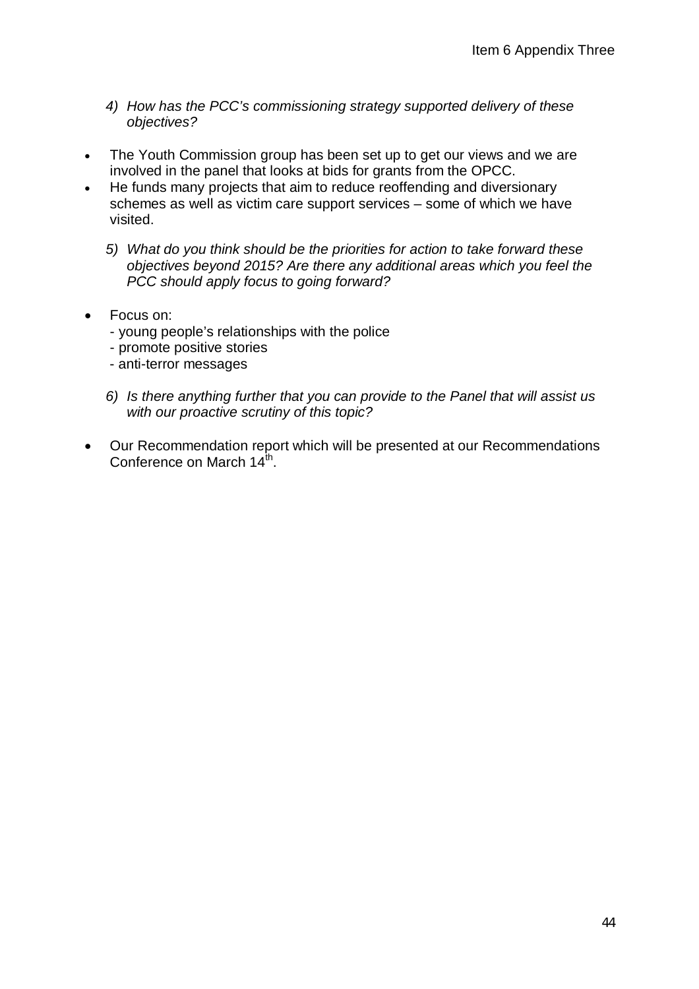- *4) How has the PCC's commissioning strategy supported delivery of these objectives?*
- The Youth Commission group has been set up to get our views and we are involved in the panel that looks at bids for grants from the OPCC.
- He funds many projects that aim to reduce reoffending and diversionary schemes as well as victim care support services – some of which we have visited.
	- *5) What do you think should be the priorities for action to take forward these objectives beyond 2015? Are there any additional areas which you feel the PCC should apply focus to going forward?*
- Focus on:
	- young people's relationships with the police
	- promote positive stories
	- anti-terror messages
	- *6) Is there anything further that you can provide to the Panel that will assist us with our proactive scrutiny of this topic?*
- Our Recommendation report which will be presented at our Recommendations Conference on March  $14^{\text{th}}$ .